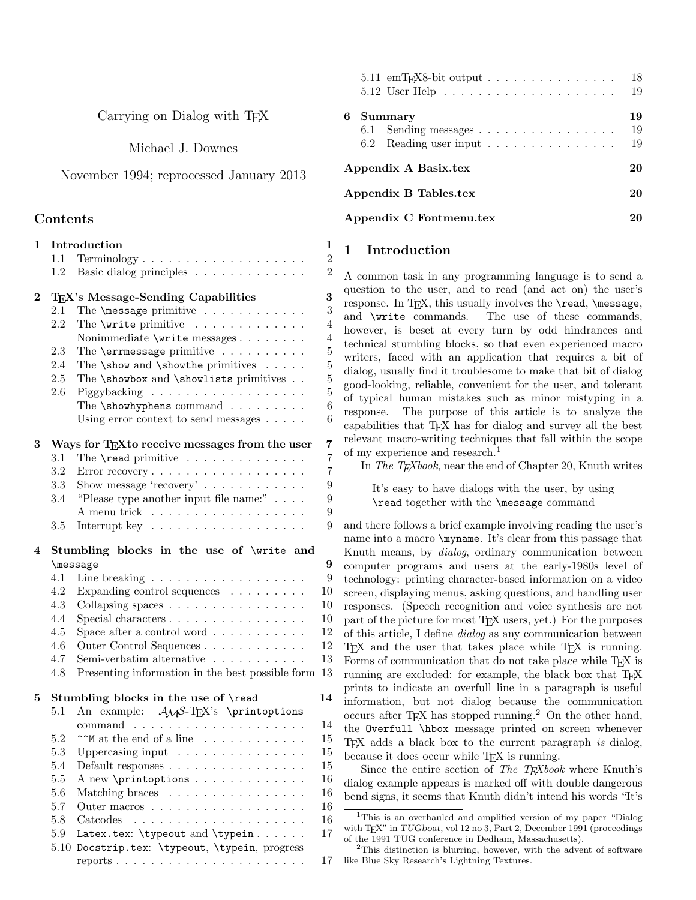Carrying on Dialog with TEX

Michael J. Downes

November 1994; reprocessed January 2013

## Contents

| $\mathbf{1}$ | Introduction<br>$\mathbf{1}$              |                                                                                                      |                |  |  |  |
|--------------|-------------------------------------------|------------------------------------------------------------------------------------------------------|----------------|--|--|--|
|              | 1.1                                       |                                                                                                      | $\overline{2}$ |  |  |  |
|              | 1.2                                       | Basic dialog principles                                                                              | $\overline{2}$ |  |  |  |
| $\bf{2}$     |                                           | TFX's Message-Sending Capabilities                                                                   | 3              |  |  |  |
|              | 2.1                                       | The $\text{message primitive} \dots \dots \dots \dots$                                               | 3              |  |  |  |
|              | $2.2\,$                                   | The \write primitive                                                                                 | $\overline{4}$ |  |  |  |
|              |                                           | Nonimmediate \write messages                                                                         | $\overline{4}$ |  |  |  |
|              | 2.3                                       | The <b>\errmessage</b> primitive                                                                     | $\overline{5}$ |  |  |  |
|              | 2.4                                       | The $\s$ how and $\s$ how the primitives                                                             | $\overline{5}$ |  |  |  |
|              | 2.5                                       | The \showbox and \showlists primitives                                                               | $\overline{5}$ |  |  |  |
|              | $2.6\,$                                   |                                                                                                      | $\overline{5}$ |  |  |  |
|              |                                           | The \showhyphens command                                                                             | 6              |  |  |  |
|              |                                           | Using error context to send messages $\ldots$ .                                                      | 6              |  |  |  |
| 3            |                                           | 7<br>Ways for T <sub>F</sub> X <sub>to</sub> receive messages from the user                          |                |  |  |  |
|              | 3.1                                       | The <b>\read</b> primitive                                                                           | $\overline{7}$ |  |  |  |
|              | 3.2                                       |                                                                                                      | $\overline{7}$ |  |  |  |
|              | $3.3\,$                                   | Show message 'recovery' $\ldots \ldots \ldots \ldots$                                                | 9              |  |  |  |
|              | 3.4                                       | "Please type another input file name:" $\ldots$ .                                                    | 9              |  |  |  |
|              |                                           | A menu trick                                                                                         | 9              |  |  |  |
|              | 3.5                                       | Interrupt key $\dots \dots \dots \dots \dots \dots \dots$                                            | 9              |  |  |  |
| 4            | Stumbling blocks in the use of \write and |                                                                                                      |                |  |  |  |
|              |                                           | \message                                                                                             | 9              |  |  |  |
|              | 4.1                                       | Line breaking $\ldots \ldots \ldots \ldots \ldots \ldots$                                            | 9              |  |  |  |
|              | 4.2                                       | Expanding control sequences $\ldots \ldots \ldots$                                                   | 10             |  |  |  |
|              | 4.3                                       | Collapsing spaces                                                                                    | 10             |  |  |  |
|              | 4.4                                       | Special characters                                                                                   | 10             |  |  |  |
|              | 4.5                                       | Space after a control word $\ldots \ldots \ldots$                                                    | 12             |  |  |  |
|              | 4.6                                       | Outer Control Sequences                                                                              | 12             |  |  |  |
|              | 4.7<br>4.8                                | Semi-verbatim alternative $\ldots \ldots \ldots$<br>Presenting information in the best possible form | 13<br>13       |  |  |  |
|              |                                           |                                                                                                      |                |  |  |  |
| 5            |                                           | Stumbling blocks in the use of \read                                                                 | 14             |  |  |  |
|              | 5.1                                       | An example: $\mathcal{A}_{\mathcal{N}}$ S-T <sub>F</sub> X's \printoptions                           |                |  |  |  |
|              |                                           |                                                                                                      | 14             |  |  |  |
|              | 5.2                                       | $\uparrow \uparrow M$ at the end of a line $\ldots \ldots \ldots \ldots$                             | 15             |  |  |  |
|              | 5.3                                       | Uppercasing input $\dots \dots \dots \dots \dots$                                                    | 15             |  |  |  |
|              | 5.4                                       | Default responses                                                                                    | 15             |  |  |  |
|              | $5.5\,$                                   | A new \printoptions                                                                                  | 16             |  |  |  |
|              | 5.6                                       | Matching braces                                                                                      | 16             |  |  |  |
|              | 5.7                                       | Outer macros                                                                                         | 16             |  |  |  |
|              | 5.8                                       | Catcodes<br>the contract of the contract of the contract of the                                      | 16             |  |  |  |
|              | 5.9                                       | Latex.tex: \typeout and \typein                                                                      | 17             |  |  |  |
|              | 5.10                                      | Docstrip.tex: \typeout, \typein, progress                                                            |                |  |  |  |
|              |                                           |                                                                                                      | 17             |  |  |  |

|   | $5.11$ emT <sub>F</sub> X8-bit output $\ldots \ldots \ldots \ldots \ldots$                     | 18<br>19       |
|---|------------------------------------------------------------------------------------------------|----------------|
| 6 | Summary<br>6.1 Sending messages<br>6.2 Reading user input $\ldots \ldots \ldots \ldots \ldots$ | 19<br>19<br>19 |
|   | Appendix A Basix.tex                                                                           | 20             |
|   | Appendix B Tables.tex                                                                          | 20             |
|   | Appendix C Fontmenu.tex                                                                        |                |

## 1 Introduction

A common task in any programming language is to send a question to the user, and to read (and act on) the user's response. In T<sub>E</sub>X, this usually involves the  $\rm \gamma$ , message, and  $\rm \gamma$ . The use of these commands. The use of these commands, however, is beset at every turn by odd hindrances and technical stumbling blocks, so that even experienced macro writers, faced with an application that requires a bit of dialog, usually find it troublesome to make that bit of dialog good-looking, reliable, convenient for the user, and tolerant of typical human mistakes such as minor mistyping in a response. The purpose of this article is to analyze the capabilities that T<sub>EX</sub> has for dialog and survey all the best relevant macro-writing techniques that fall within the scope of my experience and research.<sup>1</sup>

In The T<sub>E</sub>Xbook, near the end of Chapter 20, Knuth writes

It's easy to have dialogs with the user, by using \read together with the \message command

and there follows a brief example involving reading the user's name into a macro \myname. It's clear from this passage that Knuth means, by dialog, ordinary communication between computer programs and users at the early-1980s level of technology: printing character-based information on a video screen, displaying menus, asking questions, and handling user responses. (Speech recognition and voice synthesis are not part of the picture for most TEX users, yet.) For the purposes of this article, I define dialog as any communication between TEX and the user that takes place while TEX is running. Forms of communication that do not take place while T<sub>E</sub>X is running are excluded: for example, the black box that TEX prints to indicate an overfull line in a paragraph is useful information, but not dialog because the communication occurs after T<sub>EX</sub> has stopped running.<sup>2</sup> On the other hand, the Overfull \hbox message printed on screen whenever TEX adds a black box to the current paragraph is dialog, because it does occur while T<sub>F</sub>X is running.

Since the entire section of The T<sub>E</sub>Xbook where Knuth's dialog example appears is marked off with double dangerous bend signs, it seems that Knuth didn't intend his words "It's

<sup>1</sup>This is an overhauled and amplified version of my paper "Dialog with T<sub>E</sub>X" in TUGboat, vol 12 no 3, Part 2, December 1991 (proceedings of the 1991 TUG conference in Dedham, Massachusetts).

<sup>2</sup>This distinction is blurring, however, with the advent of software like Blue Sky Research's Lightning Textures.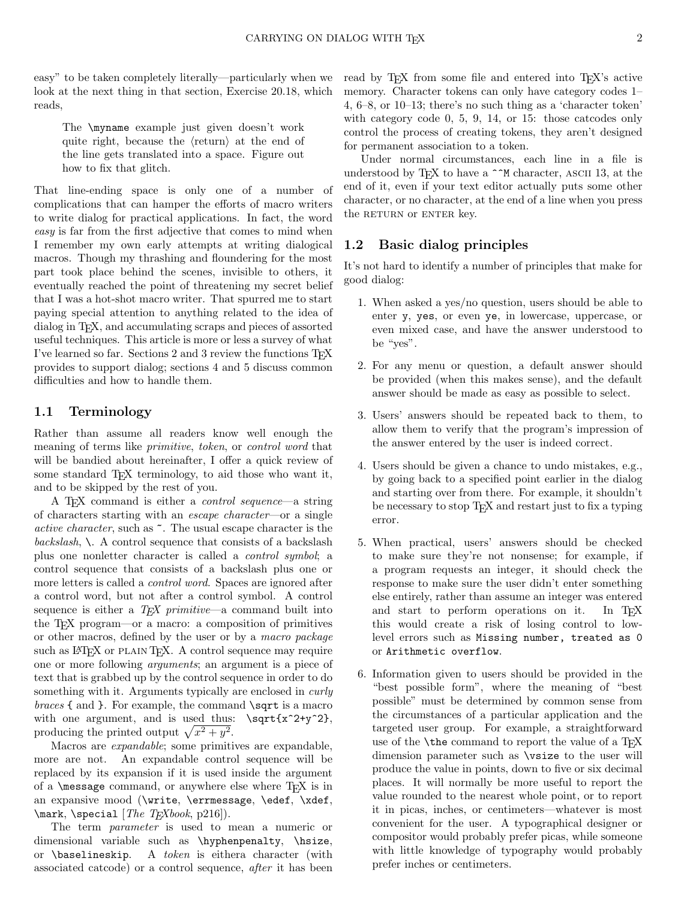easy" to be taken completely literally—particularly when we look at the next thing in that section, Exercise 20.18, which reads,

The \myname example just given doesn't work quite right, because the  $\langle$ return $\rangle$  at the end of the line gets translated into a space. Figure out how to fix that glitch.

That line-ending space is only one of a number of complications that can hamper the efforts of macro writers to write dialog for practical applications. In fact, the word easy is far from the first adjective that comes to mind when I remember my own early attempts at writing dialogical macros. Though my thrashing and floundering for the most part took place behind the scenes, invisible to others, it eventually reached the point of threatening my secret belief that I was a hot-shot macro writer. That spurred me to start paying special attention to anything related to the idea of dialog in T<sub>EX</sub>, and accumulating scraps and pieces of assorted useful techniques. This article is more or less a survey of what I've learned so far. Sections 2 and 3 review the functions  $T_F X$ provides to support dialog; sections 4 and 5 discuss common difficulties and how to handle them.

## 1.1 Terminology

Rather than assume all readers know well enough the meaning of terms like primitive, token, or control word that will be bandied about hereinafter, I offer a quick review of some standard T<sub>E</sub>X terminology, to aid those who want it, and to be skipped by the rest of you.

A T<sub>EX</sub> command is either a *control sequence*—a string of characters starting with an escape character—or a single active character, such as ~. The usual escape character is the backslash,  $\setminus$ . A control sequence that consists of a backslash plus one nonletter character is called a control symbol; a control sequence that consists of a backslash plus one or more letters is called a control word. Spaces are ignored after a control word, but not after a control symbol. A control sequence is either a  $T_F X$  primitive—a command built into the TEX program—or a macro: a composition of primitives or other macros, defined by the user or by a macro package such as IATEX or PLAIN TEX. A control sequence may require one or more following arguments; an argument is a piece of text that is grabbed up by the control sequence in order to do something with it. Arguments typically are enclosed in *curly*  $braces \{ and \}$ . For example, the command  $\sqrt{sqt}$  is a macro with one argument, and is used thus:  $\sqrt{\sqrt{x^2+y^2}}$ , producing the printed output  $\sqrt{x^2 + y^2}$ .

Macros are expandable; some primitives are expandable, more are not. An expandable control sequence will be replaced by its expansion if it is used inside the argument of a  $\measuredangle$  command, or anywhere else where T<sub>E</sub>X is in an expansive mood (\write, \errmessage, \edef, \xdef,  $\text{Mark}, \text{special}$  [The T<sub>E</sub>Xbook, p216]).

The term *parameter* is used to mean a numeric or dimensional variable such as \hyphenpenalty, \hsize, or \baselineskip. A token is eithera character (with associated catcode) or a control sequence, after it has been read by T<sub>EX</sub> from some file and entered into T<sub>EX</sub>'s active memory. Character tokens can only have category codes 1– 4, 6–8, or 10–13; there's no such thing as a 'character token' with category code 0, 5, 9, 14, or 15: those catcodes only control the process of creating tokens, they aren't designed for permanent association to a token.

Under normal circumstances, each line in a file is understood by T<sub>E</sub>X to have a  $\hat{\ }$ M character, ASCII 13, at the end of it, even if your text editor actually puts some other character, or no character, at the end of a line when you press the RETURN or ENTER key.

## 1.2 Basic dialog principles

It's not hard to identify a number of principles that make for good dialog:

- 1. When asked a yes/no question, users should be able to enter y, yes, or even ye, in lowercase, uppercase, or even mixed case, and have the answer understood to be "yes".
- 2. For any menu or question, a default answer should be provided (when this makes sense), and the default answer should be made as easy as possible to select.
- 3. Users' answers should be repeated back to them, to allow them to verify that the program's impression of the answer entered by the user is indeed correct.
- 4. Users should be given a chance to undo mistakes, e.g., by going back to a specified point earlier in the dialog and starting over from there. For example, it shouldn't be necessary to stop TEX and restart just to fix a typing error.
- 5. When practical, users' answers should be checked to make sure they're not nonsense; for example, if a program requests an integer, it should check the response to make sure the user didn't enter something else entirely, rather than assume an integer was entered and start to perform operations on it. In T<sub>EX</sub> this would create a risk of losing control to lowlevel errors such as Missing number, treated as 0 or Arithmetic overflow.
- 6. Information given to users should be provided in the "best possible form", where the meaning of "best possible" must be determined by common sense from the circumstances of a particular application and the targeted user group. For example, a straightforward use of the **\the** command to report the value of a TEX dimension parameter such as \vsize to the user will produce the value in points, down to five or six decimal places. It will normally be more useful to report the value rounded to the nearest whole point, or to report it in picas, inches, or centimeters—whatever is most convenient for the user. A typographical designer or compositor would probably prefer picas, while someone with little knowledge of typography would probably prefer inches or centimeters.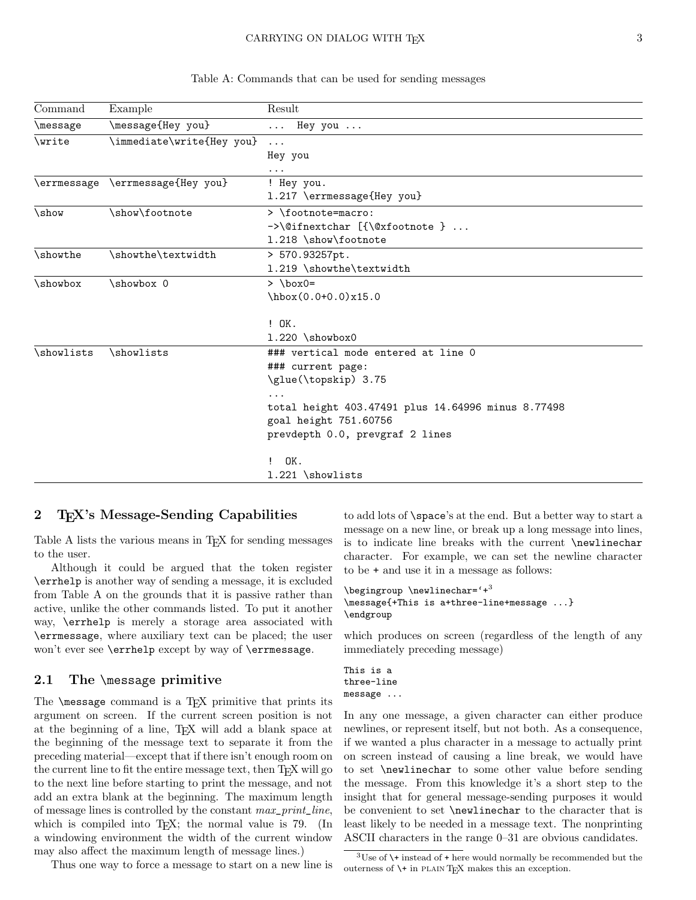#### CARRYING ON DIALOG WITH T<sub>E</sub>X 3

| Command       | Example                          | Result                                             |
|---------------|----------------------------------|----------------------------------------------------|
| \message      | \message{Hey you}                | Hey you $\ldots$<br>$\cdots$                       |
| <b>\write</b> | \immediate\write{Hey you}        | $\cdot$                                            |
|               |                                  | Hey you                                            |
|               |                                  | $\cdots$                                           |
|               | \errmessage \errmessage{Hey you} | ! Hey you.                                         |
|               |                                  | 1.217 \errmessage{Hey you}                         |
| \show         | \show\footnote                   | > \footnote=macro:                                 |
|               |                                  | $\rightarrow$ \@ifnextchar [{\@xfootnote }         |
|               |                                  | 1.218 \show\footnote                               |
| \showthe      | \showthe\textwidth               | > 570.93257pt.                                     |
|               |                                  | 1.219 \showthe\textwidth                           |
| \showbox      | \showbox 0                       | $>$ \box0=                                         |
|               |                                  | $\hbar$ ox $(0.0 + 0.0)$ x15.0                     |
|               |                                  | $!$ $0K.$                                          |
|               |                                  | $1.220$ \showbox0                                  |
| \showlists    | \showlists                       | ### vertical mode entered at line 0                |
|               |                                  | ### current page:                                  |
|               |                                  | \glue(\topskip) 3.75                               |
|               |                                  | $\cdots$                                           |
|               |                                  | total height 403.47491 plus 14.64996 minus 8.77498 |
|               |                                  | goal height 751.60756                              |
|               |                                  | prevdepth 0.0, prevgraf 2 lines                    |
|               |                                  | OK.<br>$\mathbf{I}$                                |
|               |                                  | 1.221 \showlists                                   |

Table A: Commands that can be used for sending messages

## 2 TEX's Message-Sending Capabilities

Table A lists the various means in T<sub>E</sub>X for sending messages to the user.

Although it could be argued that the token register \errhelp is another way of sending a message, it is excluded from Table A on the grounds that it is passive rather than active, unlike the other commands listed. To put it another way, \errhelp is merely a storage area associated with \errmessage, where auxiliary text can be placed; the user won't ever see \errhelp except by way of \errmessage.

## 2.1 The \message primitive

The  $\mathcal{S}$  command is a T<sub>EX</sub> primitive that prints its argument on screen. If the current screen position is not at the beginning of a line, TEX will add a blank space at the beginning of the message text to separate it from the preceding material—except that if there isn't enough room on the current line to fit the entire message text, then T<sub>E</sub>X will go to the next line before starting to print the message, and not add an extra blank at the beginning. The maximum length of message lines is controlled by the constant max\_print\_line, which is compiled into  $T_F X$ ; the normal value is 79. (In a windowing environment the width of the current window may also affect the maximum length of message lines.)

Thus one way to force a message to start on a new line is

to add lots of \space's at the end. But a better way to start a message on a new line, or break up a long message into lines, is to indicate line breaks with the current \newlinechar character. For example, we can set the newline character to be + and use it in a message as follows:

```
\begin{bmatrix} \text{begin}} \text{aligned} \end{bmatrix}\message{+This is a+three-line+message ...}
\endgroup
```
which produces on screen (regardless of the length of any immediately preceding message)

```
This is a
three-line
message ...
```
In any one message, a given character can either produce newlines, or represent itself, but not both. As a consequence, if we wanted a plus character in a message to actually print on screen instead of causing a line break, we would have to set \newlinechar to some other value before sending the message. From this knowledge it's a short step to the insight that for general message-sending purposes it would be convenient to set \newlinechar to the character that is least likely to be needed in a message text. The nonprinting ASCII characters in the range 0–31 are obvious candidates.

 $3U$ se of  $\rightarrow$  instead of + here would normally be recommended but the outerness of \+ in plain TEX makes this an exception.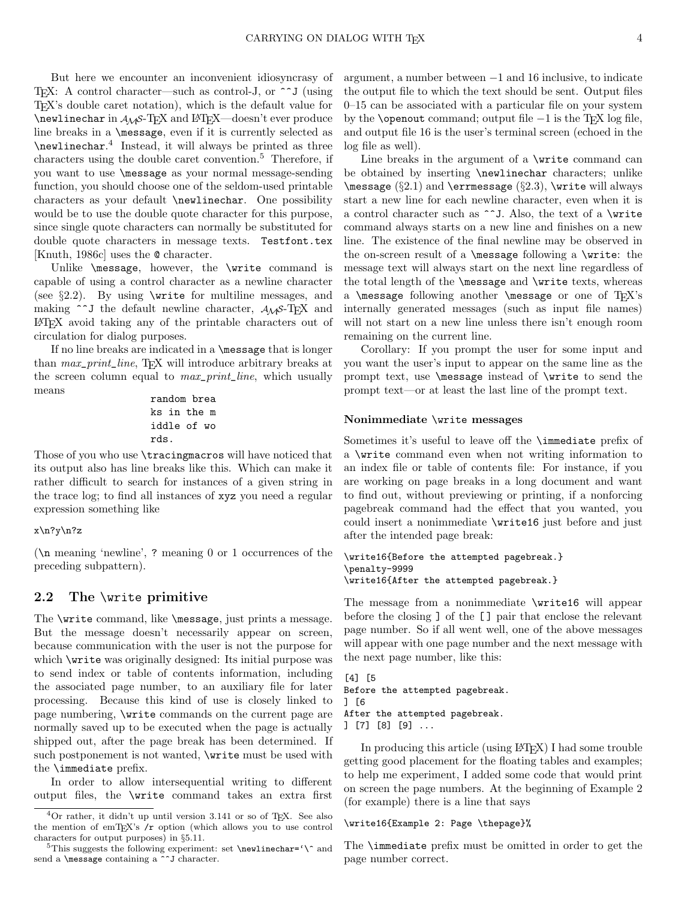But here we encounter an inconvenient idiosyncrasy of T<sub>E</sub>X: A control character—such as control-J, or  $\sim$  J (using TEX's double caret notation), which is the default value for \newlinechar in AMS-TEX and LATEX—doesn't ever produce line breaks in a \message, even if it is currently selected as \newlinechar. 4 Instead, it will always be printed as three characters using the double caret convention.<sup>5</sup> Therefore, if you want to use \message as your normal message-sending function, you should choose one of the seldom-used printable characters as your default \newlinechar. One possibility would be to use the double quote character for this purpose, since single quote characters can normally be substituted for double quote characters in message texts. Testfont.tex [Knuth, 1986c] uses the @ character.

Unlike \message, however, the \write command is capable of using a control character as a newline character (see §2.2). By using \write for multiline messages, and making  $\hat{\phantom{a}}$  the default newline character,  $A_{\mathcal{M}}S$ -TEX and LATEX avoid taking any of the printable characters out of circulation for dialog purposes.

If no line breaks are indicated in a \message that is longer than max\_print\_line, TEX will introduce arbitrary breaks at the screen column equal to  $max\_print\_line$ , which usually means

random brea ks in the m iddle of wo rds.

Those of you who use \tracingmacros will have noticed that its output also has line breaks like this. Which can make it rather difficult to search for instances of a given string in the trace log; to find all instances of xyz you need a regular expression something like

#### x\n?y\n?z

(\n meaning 'newline', ? meaning 0 or 1 occurrences of the preceding subpattern).

### 2.2 The \write primitive

The \write command, like \message, just prints a message. But the message doesn't necessarily appear on screen, because communication with the user is not the purpose for which **\write** was originally designed: Its initial purpose was to send index or table of contents information, including the associated page number, to an auxiliary file for later processing. Because this kind of use is closely linked to page numbering, \write commands on the current page are normally saved up to be executed when the page is actually shipped out, after the page break has been determined. If such postponement is not wanted, \write must be used with the \immediate prefix.

In order to allow intersequential writing to different output files, the \write command takes an extra first argument, a number between −1 and 16 inclusive, to indicate the output file to which the text should be sent. Output files 0–15 can be associated with a particular file on your system by the \openout command; output file  $-1$  is the T<sub>E</sub>X log file, and output file 16 is the user's terminal screen (echoed in the log file as well).

Line breaks in the argument of a \write command can be obtained by inserting **\newlinechar** characters; unlike \message (§2.1) and \errmessage (§2.3), \write will always start a new line for each newline character, even when it is a control character such as  $\sim$ J. Also, the text of a \write command always starts on a new line and finishes on a new line. The existence of the final newline may be observed in the on-screen result of a \message following a \write: the message text will always start on the next line regardless of the total length of the \message and \write texts, whereas a **\message** following another **\message** or one of  $T_F X$ 's internally generated messages (such as input file names) will not start on a new line unless there isn't enough room remaining on the current line.

Corollary: If you prompt the user for some input and you want the user's input to appear on the same line as the prompt text, use \message instead of \write to send the prompt text—or at least the last line of the prompt text.

#### Nonimmediate \write messages

Sometimes it's useful to leave off the \immediate prefix of a \write command even when not writing information to an index file or table of contents file: For instance, if you are working on page breaks in a long document and want to find out, without previewing or printing, if a nonforcing pagebreak command had the effect that you wanted, you could insert a nonimmediate \write16 just before and just after the intended page break:

#### \write16{Before the attempted pagebreak.} \penalty-9999 \write16{After the attempted pagebreak.}

The message from a nonimmediate \write16 will appear before the closing ] of the [ ] pair that enclose the relevant page number. So if all went well, one of the above messages will appear with one page number and the next message with the next page number, like this:

```
[4] [5
Before the attempted pagebreak.
] [6
After the attempted pagebreak.
] [7] [8] [9] ...
```
In producing this article (using LATEX) I had some trouble getting good placement for the floating tables and examples; to help me experiment, I added some code that would print on screen the page numbers. At the beginning of Example 2 (for example) there is a line that says

```
\write16{Example 2: Page \thepage}%
```
The \immediate prefix must be omitted in order to get the page number correct.

 ${}^{4}$ Or rather, it didn't up until version 3.141 or so of T<sub>E</sub>X. See also the mention of emT<sub>E</sub>X's  $/r$  option (which allows you to use control characters for output purposes) in §5.11.

 $^5\rm{This}$  suggests the following experiment: set **\newlinechar='\^** and send a **\message** containing a  $\widehat{\ }$  character.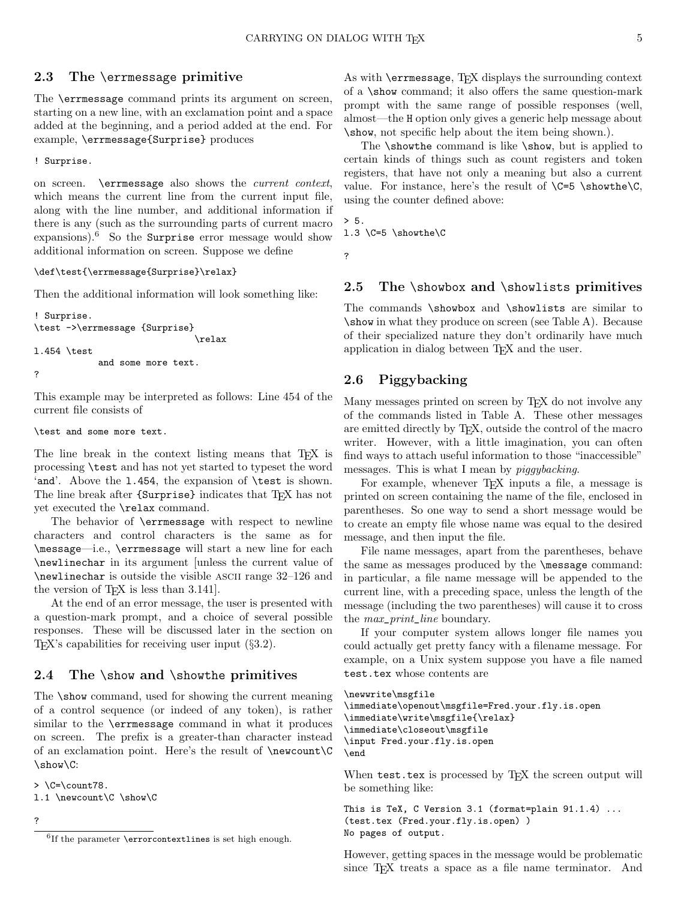## 2.3 The \errmessage primitive

The \errmessage command prints its argument on screen, starting on a new line, with an exclamation point and a space added at the beginning, and a period added at the end. For example, \errmessage{Surprise} produces

! Surprise.

on screen. \errmessage also shows the current context, which means the current line from the current input file, along with the line number, and additional information if there is any (such as the surrounding parts of current macro expansions).<sup>6</sup> So the Surprise error message would show additional information on screen. Suppose we define

\def\test{\errmessage{Surprise}\relax}

Then the additional information will look something like:

```
! Surprise.
\test ->\errmessage {Surprise}
                               \relax
l.454 \test
            and some more text.
?
```
This example may be interpreted as follows: Line 454 of the current file consists of

#### \test and some more text.

The line break in the context listing means that T<sub>E</sub>X is processing \test and has not yet started to typeset the word 'and'. Above the 1.454, the expansion of **\test** is shown. The line break after {Surprise} indicates that T<sub>E</sub>X has not yet executed the \relax command.

The behavior of \errmessage with respect to newline characters and control characters is the same as for \message—i.e., \errmessage will start a new line for each \newlinechar in its argument [unless the current value of \newlinechar is outside the visible ascii range 32–126 and the version of T<sub>E</sub>X is less than 3.141.

At the end of an error message, the user is presented with a question-mark prompt, and a choice of several possible responses. These will be discussed later in the section on T<sub>EX</sub>'s capabilities for receiving user input  $(\S3.2)$ .

## 2.4 The \show and \showthe primitives

The \show command, used for showing the current meaning of a control sequence (or indeed of any token), is rather similar to the \errmessage command in what it produces on screen. The prefix is a greater-than character instead of an exclamation point. Here's the result of \newcount\C \show\C:

 $>\$   $C=\count 78$ . l.1 \newcount\C \show\C

?

As with **\errmessage**, TEX displays the surrounding context of a \show command; it also offers the same question-mark prompt with the same range of possible responses (well, almost—the H option only gives a generic help message about \show, not specific help about the item being shown.).

The \showthe command is like \show, but is applied to certain kinds of things such as count registers and token registers, that have not only a meaning but also a current value. For instance, here's the result of  $\C = 5 \show the \C$ , using the counter defined above:

 $> 5.$ 

1.3  $C=5$   $showthe$ 

?

## 2.5 The \showbox and \showlists primitives

The commands \showbox and \showlists are similar to \show in what they produce on screen (see Table A). Because of their specialized nature they don't ordinarily have much application in dialog between TEX and the user.

## 2.6 Piggybacking

Many messages printed on screen by T<sub>E</sub>X do not involve any of the commands listed in Table A. These other messages are emitted directly by TEX, outside the control of the macro writer. However, with a little imagination, you can often find ways to attach useful information to those "inaccessible" messages. This is what I mean by piggybacking.

For example, whenever T<sub>E</sub>X inputs a file, a message is printed on screen containing the name of the file, enclosed in parentheses. So one way to send a short message would be to create an empty file whose name was equal to the desired message, and then input the file.

File name messages, apart from the parentheses, behave the same as messages produced by the \message command: in particular, a file name message will be appended to the current line, with a preceding space, unless the length of the message (including the two parentheses) will cause it to cross the  $max\_print\_line$  boundary.

If your computer system allows longer file names you could actually get pretty fancy with a filename message. For example, on a Unix system suppose you have a file named test.tex whose contents are

#### \newwrite\msgfile

```
\immediate\openout\msgfile=Fred.your.fly.is.open
\immediate\write\msgfile{\relax}
\immediate\closeout\msgfile
\input Fred.your.fly.is.open
\end
```
When test.tex is processed by TEX the screen output will be something like:

```
This is TeX, C Version 3.1 (format=plain 91.1.4) ...
(test.tex (Fred.your.fly.is.open) )
No pages of output.
```
However, getting spaces in the message would be problematic since TEX treats a space as a file name terminator. And

 ${}^{6}$ If the parameter **\errorcontextlines** is set high enough.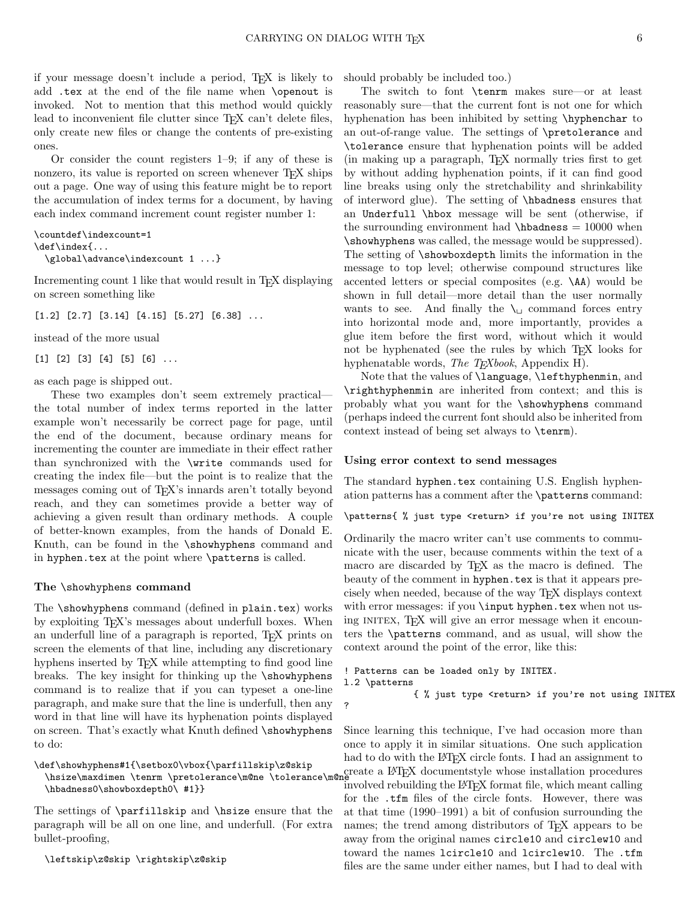if your message doesn't include a period, TEX is likely to add .tex at the end of the file name when \openout is invoked. Not to mention that this method would quickly lead to inconvenient file clutter since T<sub>E</sub>X can't delete files, only create new files or change the contents of pre-existing ones.

Or consider the count registers  $1-9$ ; if any of these is nonzero, its value is reported on screen whenever T<sub>E</sub>X ships out a page. One way of using this feature might be to report the accumulation of index terms for a document, by having each index command increment count register number 1:

```
\countdef\indexcount=1
\def\index{...
 \global\advance\indexcount 1 ...}
```
Incrementing count 1 like that would result in T<sub>E</sub>X displaying on screen something like

 $[1.2]$   $[2.7]$   $[3.14]$   $[4.15]$   $[5.27]$   $[6.38]$  ...

instead of the more usual

 $[1] [2] [3] [4] [5] [6] \ldots$ 

as each page is shipped out.

These two examples don't seem extremely practical the total number of index terms reported in the latter example won't necessarily be correct page for page, until the end of the document, because ordinary means for incrementing the counter are immediate in their effect rather than synchronized with the \write commands used for creating the index file—but the point is to realize that the messages coming out of TEX's innards aren't totally beyond reach, and they can sometimes provide a better way of achieving a given result than ordinary methods. A couple of better-known examples, from the hands of Donald E. Knuth, can be found in the \showhyphens command and in hyphen.tex at the point where \patterns is called.

#### The \showhyphens command

The \showhyphens command (defined in plain.tex) works by exploiting TEX's messages about underfull boxes. When an underfull line of a paragraph is reported, T<sub>EX</sub> prints on screen the elements of that line, including any discretionary hyphens inserted by T<sub>E</sub>X while attempting to find good line breaks. The key insight for thinking up the \showhyphens command is to realize that if you can typeset a one-line paragraph, and make sure that the line is underfull, then any word in that line will have its hyphenation points displayed on screen. That's exactly what Knuth defined \showhyphens to do:

#### \def\showhyphens#1{\setbox0\vbox{\parfillskip\z@skip

\hsize\maxdimen \tenrm \pretolerance\m@ne \tolerance\m@ \hbadness0\showboxdepth0\ #1}}

The settings of \parfillskip and \hsize ensure that the paragraph will be all on one line, and underfull. (For extra bullet-proofing,

#### \leftskip\z@skip \rightskip\z@skip

should probably be included too.)

The switch to font \tenrm makes sure—or at least reasonably sure—that the current font is not one for which hyphenation has been inhibited by setting \hyphenchar to an out-of-range value. The settings of \pretolerance and \tolerance ensure that hyphenation points will be added (in making up a paragraph, TEX normally tries first to get by without adding hyphenation points, if it can find good line breaks using only the stretchability and shrinkability of interword glue). The setting of \hbadness ensures that an Underfull \hbox message will be sent (otherwise, if the surrounding environment had  $\hbar$  hbadness = 10000 when \showhyphens was called, the message would be suppressed). The setting of \showboxdepth limits the information in the message to top level; otherwise compound structures like accented letters or special composites (e.g. \AA) would be shown in full detail—more detail than the user normally wants to see. And finally the  $\mathcal{L}$  command forces entry into horizontal mode and, more importantly, provides a glue item before the first word, without which it would not be hyphenated (see the rules by which T<sub>EX</sub> looks for hyphenatable words, The T<sub>E</sub>Xbook, Appendix H).

Note that the values of \language, \lefthyphenmin, and \righthyphenmin are inherited from context; and this is probably what you want for the \showhyphens command (perhaps indeed the current font should also be inherited from context instead of being set always to \tenrm).

#### Using error context to send messages

The standard hyphen.tex containing U.S. English hyphenation patterns has a comment after the \patterns command:

\patterns{ % just type <return> if you're not using INITEX

```
Ordinarily the macro writer can't use comments to commu-
nicate with the user, because comments within the text of a
macro are discarded by TEX as the macro is defined. The
beauty of the comment in hyphen.tex is that it appears pre-
cisely when needed, because of the way TEX displays context
with error messages: if you \input hyphen.tex when not us-
ing INITEX, T<sub>EX</sub> will give an error message when it encoun-
ters the \patterns command, and as usual, will show the
context around the point of the error, like this:
```

```
! Patterns can be loaded only by INITEX.
l.2 \patterns
             { % just type <return> if you're not using INITEX
?
```
Since learning this technique, I've had occasion more than once to apply it in similar situations. One such application had to do with the LAT<sub>EX</sub> circle fonts. I had an assignment to create a LATEX documentstyle whose installation procedures involved rebuilding the LATEX format file, which meant calling for the .tfm files of the circle fonts. However, there was at that time (1990–1991) a bit of confusion surrounding the names; the trend among distributors of T<sub>E</sub>X appears to be away from the original names circle10 and circlew10 and toward the names lcircle10 and lcirclew10. The .tfm files are the same under either names, but I had to deal with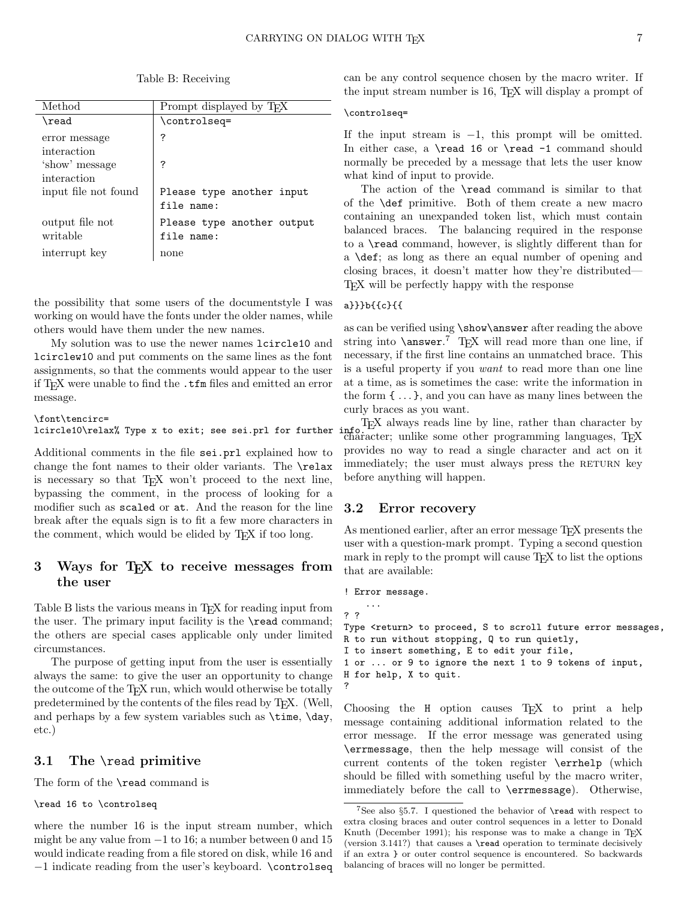| Method                      | Prompt displayed by TFX                  |
|-----------------------------|------------------------------------------|
| \read                       | \controlseq=                             |
| error message               | ?                                        |
| interaction                 |                                          |
| 'show' message              | ?                                        |
| interaction                 |                                          |
| input file not found        | Please type another input<br>file name:  |
| output file not<br>writable | Please type another output<br>file name: |
| interrupt key               | none                                     |

the possibility that some users of the documentstyle I was working on would have the fonts under the older names, while others would have them under the new names.

My solution was to use the newer names lcircle10 and lcirclew10 and put comments on the same lines as the font assignments, so that the comments would appear to the user if T<sub>F</sub>X were unable to find the .tfm files and emitted an error message.

```
\font\tencirc=
lcircle10\relax% Type x to exit; see sei.prl for further
```
Additional comments in the file sei.prl explained how to change the font names to their older variants. The \relax is necessary so that T<sub>EX</sub> won't proceed to the next line, bypassing the comment, in the process of looking for a modifier such as scaled or at. And the reason for the line break after the equals sign is to fit a few more characters in the comment, which would be elided by TEX if too long.

## 3 Ways for TEX to receive messages from the user

Table B lists the various means in T<sub>E</sub>X for reading input from the user. The primary input facility is the **\read** command; the others are special cases applicable only under limited circumstances.

The purpose of getting input from the user is essentially always the same: to give the user an opportunity to change the outcome of the T<sub>EX</sub> run, which would otherwise be totally predetermined by the contents of the files read by T<sub>E</sub>X. (Well, and perhaps by a few system variables such as \time, \day, etc.)

## 3.1 The \read primitive

The form of the \read command is

### \read 16 to \controlseq

where the number 16 is the input stream number, which might be any value from  $-1$  to 16; a number between 0 and 15 would indicate reading from a file stored on disk, while 16 and −1 indicate reading from the user's keyboard. \controlseq

can be any control sequence chosen by the macro writer. If the input stream number is 16, TEX will display a prompt of

#### \controlseq=

If the input stream is  $-1$ , this prompt will be omitted. In either case, a \read 16 or \read -1 command should normally be preceded by a message that lets the user know what kind of input to provide.

The action of the \read command is similar to that of the \def primitive. Both of them create a new macro containing an unexpanded token list, which must contain balanced braces. The balancing required in the response to a \read command, however, is slightly different than for a \def; as long as there an equal number of opening and closing braces, it doesn't matter how they're distributed— TEX will be perfectly happy with the response

### a}}}b{{c}{{

as can be verified using \show\answer after reading the above string into  $\langle$  answer.<sup>7</sup> T<sub>E</sub>X will read more than one line, if necessary, if the first line contains an unmatched brace. This is a useful property if you want to read more than one line at a time, as is sometimes the case: write the information in the form  $\{\ldots\}$ , and you can have as many lines between the curly braces as you want.

TEX always reads line by line, rather than character by info Francisco Character; unlike some other programming languages, TEX provides no way to read a single character and act on it immediately; the user must always press the RETURN key before anything will happen.

## 3.2 Error recovery

As mentioned earlier, after an error message T<sub>F</sub>X presents the user with a question-mark prompt. Typing a second question mark in reply to the prompt will cause TEX to list the options that are available:

```
! Error message.
    ...
? ?
Type <return> to proceed, S to scroll future error messages,
R to run without stopping, Q to run quietly,
I to insert something, E to edit your file,
1 or ... or 9 to ignore the next 1 to 9 tokens of input,
H for help, X to quit.
?
```
Choosing the H option causes T<sub>EX</sub> to print a help message containing additional information related to the error message. If the error message was generated using \errmessage, then the help message will consist of the current contents of the token register \errhelp (which should be filled with something useful by the macro writer, immediately before the call to \errmessage). Otherwise,

<sup>&</sup>lt;sup>7</sup>See also §5.7. I questioned the behavior of  $\$ read with respect to extra closing braces and outer control sequences in a letter to Donald Knuth (December 1991); his response was to make a change in TFX (version 3.141?) that causes a \read operation to terminate decisively if an extra } or outer control sequence is encountered. So backwards balancing of braces will no longer be permitted.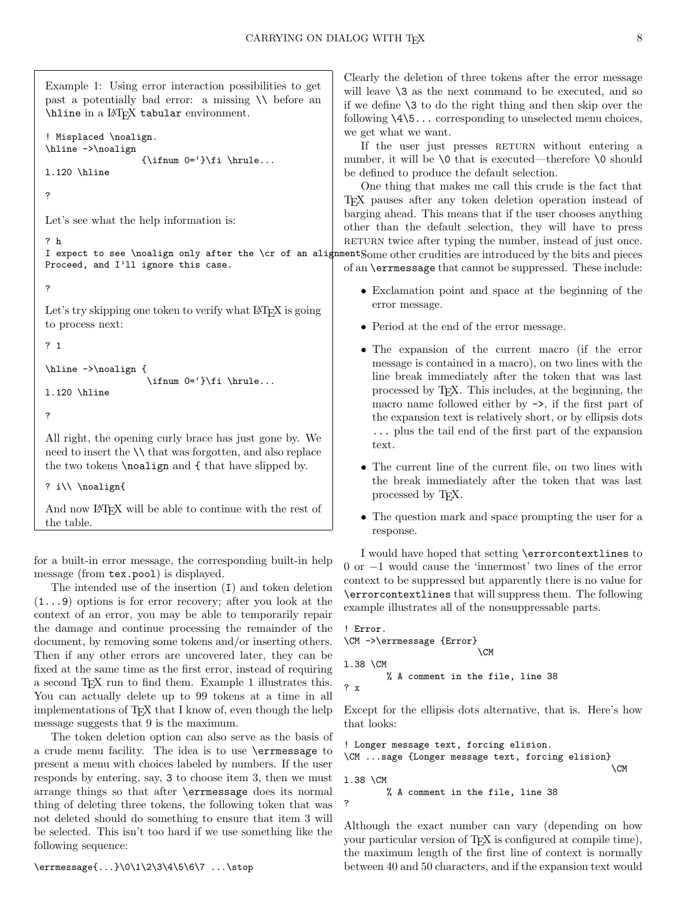Example 1: Using error interaction possibilities to get past a potentially bad error: a missing \\ before an \hline in a LATEX tabular environment.

```
! Misplaced \noalign.
\hline ->\noalign
                      {\infty \ 0='}\fi \ifnum 0='}\fi \hrule...
l.120 \hline
```
?

Let's see what the help information is:

I expect to see \noalign only after the \cr of an alignment Some other crudities are introduced by the bits and pieces Proceed, and I'll ignore this case.

```
?
```
? h

Let's try skipping one token to verify what LATEX is going to process next:

? 1

```
\hline ->\noalign {
                    \ifnum 0='}\fi \hrule...
```
- l.120 \hline
- ?

All right, the opening curly brace has just gone by. We need to insert the \\ that was forgotten, and also replace the two tokens \noalign and { that have slipped by.

```
? i\\ \noalign{
```
And now LAT<sub>EX</sub> will be able to continue with the rest of the table.

for a built-in error message, the corresponding built-in help message (from tex.pool) is displayed.

The intended use of the insertion (I) and token deletion (1...9) options is for error recovery; after you look at the context of an error, you may be able to temporarily repair the damage and continue processing the remainder of the document, by removing some tokens and/or inserting others. Then if any other errors are uncovered later, they can be fixed at the same time as the first error, instead of requiring a second TEX run to find them. Example 1 illustrates this. You can actually delete up to 99 tokens at a time in all implementations of T<sub>E</sub>X that I know of, even though the help message suggests that 9 is the maximum.

The token deletion option can also serve as the basis of a crude menu facility. The idea is to use \errmessage to present a menu with choices labeled by numbers. If the user responds by entering, say, 3 to choose item 3, then we must arrange things so that after \errmessage does its normal thing of deleting three tokens, the following token that was not deleted should do something to ensure that item 3 will be selected. This isn't too hard if we use something like the following sequence:

Clearly the deletion of three tokens after the error message will leave  $\lambda$  as the next command to be executed, and so if we define \3 to do the right thing and then skip over the following  $\{4\5 \ldots$  corresponding to unselected menu choices, we get what we want.

If the user just presses RETURN without entering a number, it will be  $\lozenge$  that is executed—therefore  $\lozenge$  should be defined to produce the default selection.

One thing that makes me call this crude is the fact that TEX pauses after any token deletion operation instead of barging ahead. This means that if the user chooses anything other than the default selection, they will have to press RETURN twice after typing the number, instead of just once.

of an \errmessage that cannot be suppressed. These include:

- Exclamation point and space at the beginning of the error message.
- Period at the end of the error message.
- The expansion of the current macro (if the error message is contained in a macro), on two lines with the line break immediately after the token that was last processed by TEX. This includes, at the beginning, the macro name followed either by ->, if the first part of the expansion text is relatively short, or by ellipsis dots ... plus the tail end of the first part of the expansion text.
- The current line of the current file, on two lines with the break immediately after the token that was last processed by TEX.
- The question mark and space prompting the user for a response.

I would have hoped that setting \errorcontextlines to 0 or −1 would cause the 'innermost' two lines of the error context to be suppressed but apparently there is no value for \errorcontextlines that will suppress them. The following example illustrates all of the nonsuppressable parts.

```
! Error.
\CM ->\errmessage {Error}
                           \Gammal.38 \CM
        % A comment in the file, line 38
? x
```
Except for the ellipsis dots alternative, that is. Here's how that looks:

```
! Longer message text, forcing elision.
\CM ...sage {Longer message text, forcing elision}
                                                   \CM
l.38 \CM
        % A comment in the file, line 38
?
```
Although the exact number can vary (depending on how your particular version of TEX is configured at compile time), the maximum length of the first line of context is normally between 40 and 50 characters, and if the expansion text would

\errmessage{...}\0\1\2\3\4\5\6\7 ...\stop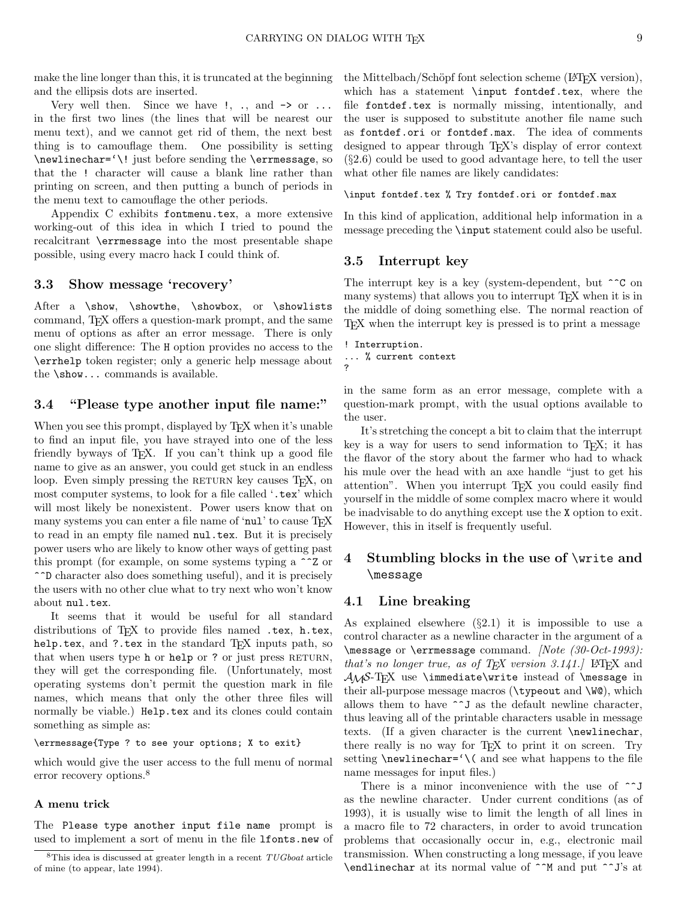make the line longer than this, it is truncated at the beginning and the ellipsis dots are inserted.

Very well then. Since we have  $!, \ldots$  and  $\rightarrow$  or  $\ldots$ in the first two lines (the lines that will be nearest our menu text), and we cannot get rid of them, the next best thing is to camouflage them. One possibility is setting \newlinechar='\! just before sending the \errmessage, so that the ! character will cause a blank line rather than printing on screen, and then putting a bunch of periods in the menu text to camouflage the other periods.

Appendix C exhibits fontmenu.tex, a more extensive working-out of this idea in which I tried to pound the recalcitrant \errmessage into the most presentable shape possible, using every macro hack I could think of.

### 3.3 Show message 'recovery'

After a \show, \showthe, \showbox, or \showlists command, TEX offers a question-mark prompt, and the same menu of options as after an error message. There is only one slight difference: The H option provides no access to the \errhelp token register; only a generic help message about the \show... commands is available.

#### 3.4 "Please type another input file name:"

When you see this prompt, displayed by T<sub>EX</sub> when it's unable to find an input file, you have strayed into one of the less friendly byways of T<sub>E</sub>X. If you can't think up a good file name to give as an answer, you could get stuck in an endless loop. Even simply pressing the RETURN key causes T<sub>E</sub>X, on most computer systems, to look for a file called '.tex' which will most likely be nonexistent. Power users know that on many systems you can enter a file name of 'nul' to cause T<sub>E</sub>X to read in an empty file named nul.tex. But it is precisely power users who are likely to know other ways of getting past this prompt (for example, on some systems typing a ^^Z or ^^D character also does something useful), and it is precisely the users with no other clue what to try next who won't know about nul.tex.

It seems that it would be useful for all standard distributions of TEX to provide files named .tex, h.tex, help.tex, and ?.tex in the standard T<sub>E</sub>X inputs path, so that when users type h or help or ? or just press RETURN, they will get the corresponding file. (Unfortunately, most operating systems don't permit the question mark in file names, which means that only the other three files will normally be viable.) Help.tex and its clones could contain something as simple as:

#### \errmessage{Type ? to see your options; X to exit}

which would give the user access to the full menu of normal error recovery options.<sup>8</sup>

### A menu trick

The Please type another input file name prompt is used to implement a sort of menu in the file lfonts.new of the Mittelbach/Schöpf font selection scheme (LAT<sub>EX</sub> version), which has a statement \input fontdef.tex, where the file fontdef.tex is normally missing, intentionally, and the user is supposed to substitute another file name such as fontdef.ori or fontdef.max. The idea of comments designed to appear through T<sub>EX</sub>'s display of error context  $(\S 2.6)$  could be used to good advantage here, to tell the user what other file names are likely candidates:

#### \input fontdef.tex % Try fontdef.ori or fontdef.max

In this kind of application, additional help information in a message preceding the \input statement could also be useful.

## 3.5 Interrupt key

The interrupt key is a key (system-dependent, but  $\hat{C}$  on many systems) that allows you to interrupt T<sub>EX</sub> when it is in the middle of doing something else. The normal reaction of TEX when the interrupt key is pressed is to print a message

```
! Interruption.
... % current context
?
```
in the same form as an error message, complete with a question-mark prompt, with the usual options available to the user.

It's stretching the concept a bit to claim that the interrupt key is a way for users to send information to  $T_F X$ ; it has the flavor of the story about the farmer who had to whack his mule over the head with an axe handle "just to get his attention". When you interrupt T<sub>EX</sub> you could easily find yourself in the middle of some complex macro where it would be inadvisable to do anything except use the X option to exit. However, this in itself is frequently useful.

# 4 Stumbling blocks in the use of \write and \message

#### 4.1 Line breaking

As explained elsewhere  $(\S2.1)$  it is impossible to use a control character as a newline character in the argument of a \message or \errmessage command. [Note (30-Oct-1993): that's no longer true, as of  $T_F X$  version 3.141. LATFX and  $A\mathcal{M}S-TFX$  use \immediate\write instead of \message in their all-purpose message macros (\typeout and \W@), which allows them to have ^^J as the default newline character, thus leaving all of the printable characters usable in message texts. (If a given character is the current \newlinechar, there really is no way for T<sub>E</sub>X to print it on screen. Try setting  $\neq$  \newlinechar=' $\{$  and see what happens to the file name messages for input files.)

There is a minor inconvenience with the use of  $\hat{ }$  j as the newline character. Under current conditions (as of 1993), it is usually wise to limit the length of all lines in a macro file to 72 characters, in order to avoid truncation problems that occasionally occur in, e.g., electronic mail transmission. When constructing a long message, if you leave \endlinechar at its normal value of ^^M and put ^^J's at

 $8$ This idea is discussed at greater length in a recent  $TUGboat$  article of mine (to appear, late 1994).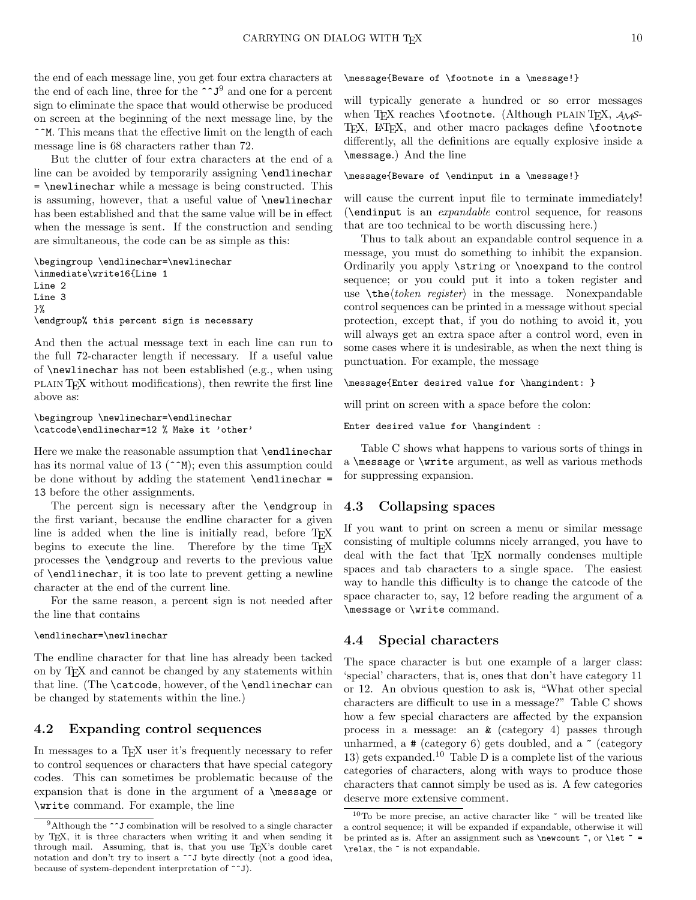the end of each message line, you get four extra characters at the end of each line, three for the  $\sim J^9$  and one for a percent sign to eliminate the space that would otherwise be produced on screen at the beginning of the next message line, by the ^^M. This means that the effective limit on the length of each message line is 68 characters rather than 72.

But the clutter of four extra characters at the end of a line can be avoided by temporarily assigning \endlinechar = \newlinechar while a message is being constructed. This is assuming, however, that a useful value of \newlinechar has been established and that the same value will be in effect when the message is sent. If the construction and sending are simultaneous, the code can be as simple as this:

```
\begingroup \endlinechar=\newlinechar
\immediate\write16{Line 1
Line 2
Line 3
}%
\endgroup% this percent sign is necessary
```
And then the actual message text in each line can run to the full 72-character length if necessary. If a useful value of \newlinechar has not been established (e.g., when using plain TEX without modifications), then rewrite the first line above as:

```
\begingroup \newlinechar=\endlinechar
\catcode\endlinechar=12 % Make it 'other'
```
Here we make the reasonable assumption that **\endlinechar** has its normal value of 13 ( $\sim$ M); even this assumption could be done without by adding the statement  $\end{math}$ 13 before the other assignments.

The percent sign is necessary after the \endgroup in the first variant, because the endline character for a given line is added when the line is initially read, before T<sub>E</sub>X begins to execute the line. Therefore by the time T<sub>E</sub>X processes the \endgroup and reverts to the previous value of \endlinechar, it is too late to prevent getting a newline character at the end of the current line.

For the same reason, a percent sign is not needed after the line that contains

## \endlinechar=\newlinechar

The endline character for that line has already been tacked on by TEX and cannot be changed by any statements within that line. (The \catcode, however, of the \endlinechar can be changed by statements within the line.)

### 4.2 Expanding control sequences

In messages to a T<sub>F</sub>X user it's frequently necessary to refer to control sequences or characters that have special category codes. This can sometimes be problematic because of the expansion that is done in the argument of a \message or \write command. For example, the line

#### \message{Beware of \footnote in a \message!}

will typically generate a hundred or so error messages when TEX reaches  $\footnotesize{\text{Notnote.}}$  (Although PLAIN TEX,  $\mathcal{A}_{\mathcal{M}}$ S-TEX, IATEX, and other macro packages define \footnote differently, all the definitions are equally explosive inside a \message.) And the line

#### \message{Beware of \endinput in a \message!}

will cause the current input file to terminate immediately! (\endinput is an expandable control sequence, for reasons that are too technical to be worth discussing here.)

Thus to talk about an expandable control sequence in a message, you must do something to inhibit the expansion. Ordinarily you apply \string or \noexpand to the control sequence; or you could put it into a token register and use  $\theta$  the *(token register)* in the message. Nonexpandable control sequences can be printed in a message without special protection, except that, if you do nothing to avoid it, you will always get an extra space after a control word, even in some cases where it is undesirable, as when the next thing is punctuation. For example, the message

\message{Enter desired value for \hangindent: }

will print on screen with a space before the colon:

Enter desired value for \hangindent :

Table C shows what happens to various sorts of things in a \message or \write argument, as well as various methods for suppressing expansion.

#### 4.3 Collapsing spaces

If you want to print on screen a menu or similar message consisting of multiple columns nicely arranged, you have to deal with the fact that TEX normally condenses multiple spaces and tab characters to a single space. The easiest way to handle this difficulty is to change the catcode of the space character to, say, 12 before reading the argument of a \message or \write command.

#### 4.4 Special characters

The space character is but one example of a larger class: 'special' characters, that is, ones that don't have category 11 or 12. An obvious question to ask is, "What other special characters are difficult to use in a message?" Table C shows how a few special characters are affected by the expansion process in a message: an & (category 4) passes through unharmed,  $a \#$  (category 6) gets doubled, and  $a \sim$  (category 13) gets expanded.<sup>10</sup> Table D is a complete list of the various categories of characters, along with ways to produce those characters that cannot simply be used as is. A few categories deserve more extensive comment.

<sup>&</sup>lt;sup>9</sup>Although the  $\sim$ <sup>J</sup> combination will be resolved to a single character by TEX, it is three characters when writing it and when sending it through mail. Assuming, that is, that you use TEX's double caret notation and don't try to insert a ^^J byte directly (not a good idea, because of system-dependent interpretation of ^^J).

 $10<sup>T</sup>$  be more precise, an active character like  $\tilde{ }$  will be treated like a control sequence; it will be expanded if expandable, otherwise it will be printed as is. After an assignment such as **\newcount**  $\tilde{\ }$ , or **\let**  $\tilde{\ }$  = \relax, the ~ is not expandable.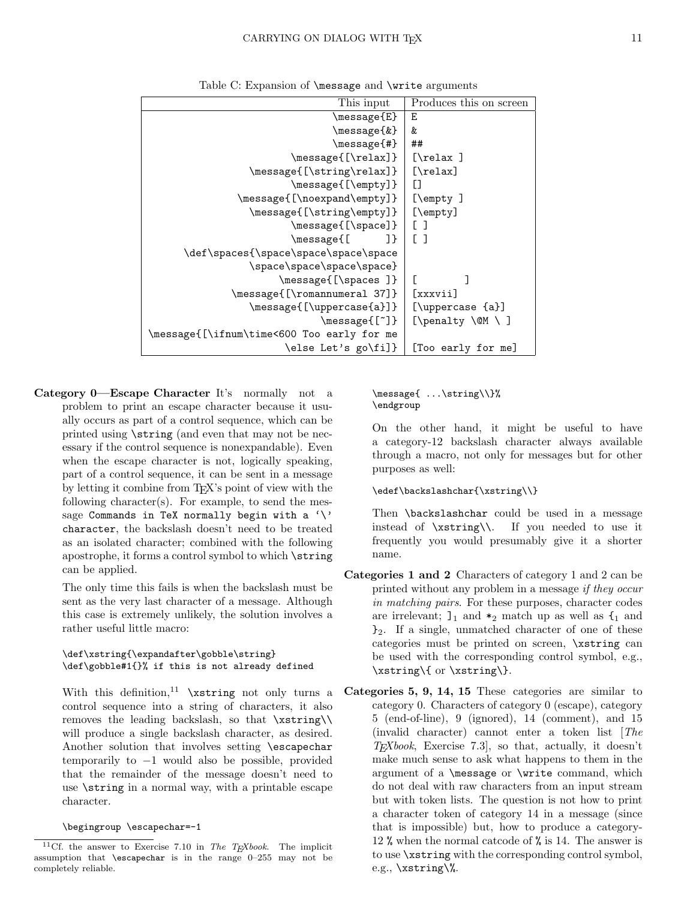| This input                                 | Produces this on screen |
|--------------------------------------------|-------------------------|
| \message{E}                                | Ε                       |
| \message{&}                                | &                       |
| \message{#}                                | ##                      |
| \message{[\relax]}                         | $[\text{relax}]$        |
| \message{[\string\relax]}                  | $[\text{relax}]$        |
| \message{[\empty]}                         | IJ                      |
| \message{[\noexpand\empty]}                | $[\text{empty}]$        |
| \message{[\string\empty]}                  | $[\text{\:}]$           |
| \message{[\space]}                         | $\lceil$ 1              |
| \message{[<br>-1 }                         | $\lceil$ 1              |
| \def\spaces{\space\space\space\space       |                         |
| \space\space\space\space}                  |                         |
| \message{[\spaces ]}                       |                         |
| \message{[\romannumeral 37]}               | [xxxvii]                |
| \message{[\uppercase{a}]}                  | [\uppercase {a}]        |
| \message{[~]}                              | [\penalty \@M \ ]       |
| \message{[\ifnum\time<600 Too early for me |                         |
| \else Let's go\fi]}                        | [Too early for me]      |

Table C: Expansion of \message and \write arguments

Category 0—Escape Character It's normally not a problem to print an escape character because it usually occurs as part of a control sequence, which can be printed using \string (and even that may not be necessary if the control sequence is nonexpandable). Even when the escape character is not, logically speaking, part of a control sequence, it can be sent in a message by letting it combine from TEX's point of view with the following character(s). For example, to send the message Commands in TeX normally begin with a  $\vee$ character, the backslash doesn't need to be treated as an isolated character; combined with the following apostrophe, it forms a control symbol to which \string can be applied.

The only time this fails is when the backslash must be sent as the very last character of a message. Although this case is extremely unlikely, the solution involves a rather useful little macro:

#### \def\xstring{\expandafter\gobble\string} \def\gobble#1{}% if this is not already defined

With this definition,<sup>11</sup>  $xstring$  not only turns a control sequence into a string of characters, it also removes the leading backslash, so that \xstring\\ will produce a single backslash character, as desired. Another solution that involves setting \escapechar temporarily to −1 would also be possible, provided that the remainder of the message doesn't need to use \string in a normal way, with a printable escape character.

#### \begingroup \escapechar=-1

#### \message{ ...\string\\}% \endgroup

On the other hand, it might be useful to have a category-12 backslash character always available through a macro, not only for messages but for other purposes as well:

#### \edef\backslashchar{\xstring\\}

Then **\backslashchar** could be used in a message instead of \xstring\\. If you needed to use it frequently you would presumably give it a shorter name.

- Categories 1 and 2 Characters of category 1 and 2 can be printed without any problem in a message if they occur in matching pairs. For these purposes, character codes are irrelevant;  $l_1$  and  $*_2$  match up as well as  $l_1$  and  $\mathcal{E}_2$ . If a single, unmatched character of one of these categories must be printed on screen, \xstring can be used with the corresponding control symbol, e.g., \xstring\{ or \xstring\}.
- Categories 5, 9, 14, 15 These categories are similar to category 0. Characters of category 0 (escape), category 5 (end-of-line), 9 (ignored), 14 (comment), and 15 (invalid character) cannot enter a token list [The  $T_F X book$ , Exercise 7.3, so that, actually, it doesn't make much sense to ask what happens to them in the argument of a \message or \write command, which do not deal with raw characters from an input stream but with token lists. The question is not how to print a character token of category 14 in a message (since that is impossible) but, how to produce a category-12 % when the normal catcode of % is 14. The answer is to use \xstring with the corresponding control symbol, e.g., \xstring\%.

<sup>&</sup>lt;sup>11</sup>Cf. the answer to Exercise 7.10 in The TEXbook. The implicit assumption that \escapechar is in the range 0–255 may not be completely reliable.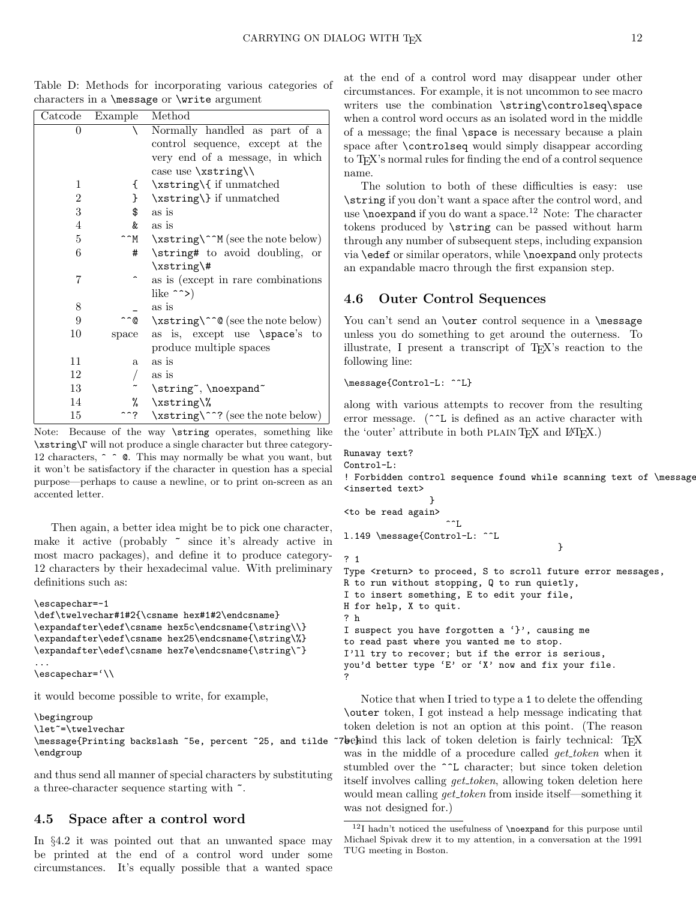| Catcode | Example | Method                                   |
|---------|---------|------------------------------------------|
| $_{0}$  |         | Normally handled as part of a            |
|         |         | control sequence, except at the          |
|         |         | very end of a message, in which          |
|         |         | case use $\xleftarrow{\xint P}{\theta}$  |
| 1       | €       | \xstring\{ if unmatched                  |
| 2       | }       | \xstring\} if unmatched                  |
| 3       | \$      | as is                                    |
| 4       | &       | as is                                    |
| 5       | 'M      | \xstring\^^M (see the note below)        |
| 6       | #       | \string# to avoid doubling,<br><b>or</b> |
|         |         | $xstring$ /#                             |
| 7       |         | as is (except in rare combinations)      |
|         |         | like $\sim$                              |
| 8       |         | as is                                    |
| 9       | ົ©      | \xstring\^^@ (see the note below)        |
| $10\,$  | space   | as is, except use \space's to            |
|         |         | produce multiple spaces                  |
| 11      | a       | as is                                    |
| 12      |         | as is                                    |
| 13      |         | \string", \noexpand"                     |
| 14      | %       | \xstring\%                               |
| 15      | ^?      | \xstring\^^? (see the note below)        |

Table D: Methods for incorporating various categories of characters in a \message or \write argument

Note: Because of the way \string operates, something like \xstring\Γ will not produce a single character but three category-12 characters,  $\hat{\ }$   $\hat{\ }$   $\bullet$   $\hat{\ }$ . This may normally be what you want, but it won't be satisfactory if the character in question has a special purpose—perhaps to cause a newline, or to print on-screen as an accented letter.

Then again, a better idea might be to pick one character, make it active (probably  $\tilde{\phantom{a}}$  since it's already active in most macro packages), and define it to produce category-12 characters by their hexadecimal value. With preliminary definitions such as:

```
\escapechar=-1
\def\twelvechar#1#2{\csname hex#1#2\endcsname}
\expandafter\edef\csname hex5c\endcsname{\string\\}
\expandafter\edef\csname hex25\endcsname{\string\%}
\expandafter\edef\csname hex7e\endcsname{\string\~}
...
\escapechar='\\
```
it would become possible to write, for example,

```
\begingroup
\let~=\twelvechar
\message{Printing backslash ~5e, percent ~25, and tilde ^
\endgroup
```
and thus send all manner of special characters by substituting a three-character sequence starting with  $\tilde{\phantom{a}}$ .

## 4.5 Space after a control word

In §4.2 it was pointed out that an unwanted space may be printed at the end of a control word under some circumstances. It's equally possible that a wanted space at the end of a control word may disappear under other circumstances. For example, it is not uncommon to see macro writers use the combination \string\controlseq\space when a control word occurs as an isolated word in the middle of a message; the final \space is necessary because a plain space after \controlseq would simply disappear according to TEX's normal rules for finding the end of a control sequence name.

The solution to both of these difficulties is easy: use \string if you don't want a space after the control word, and use  $\neq$  hoexpand if you do want a space.<sup>12</sup> Note: The character tokens produced by \string can be passed without harm through any number of subsequent steps, including expansion via \edef or similar operators, while \noexpand only protects an expandable macro through the first expansion step.

## 4.6 Outer Control Sequences

You can't send an **\outer** control sequence in a **\message** unless you do something to get around the outerness. To illustrate, I present a transcript of TEX's reaction to the following line:

```
\message{Control-L: ^^L}
```
along with various attempts to recover from the resulting error message. (^^L is defined as an active character with the 'outer' attribute in both PLAIN T<sub>E</sub>X and L<sup>AT</sup>EX.)

```
Runaway text?
Control-L:
! Forbidden control sequence found while scanning text of \message.
<inserted text>
                 }
<to be read again>
                    \overline{\phantom{a}}l.149 \message{Control-L: ^^L
                                          }
? 1
Type <return> to proceed, S to scroll future error messages,
R to run without stopping, Q to run quietly,
I to insert something, E to edit your file,
H for help, X to quit.
? h
I suspect you have forgotten a '}', causing me
to read past where you wanted me to stop.
I'll try to recover; but if the error is serious,
you'd better type 'E' or 'X' now and fix your file.
?
```
Notice that when I tried to type a 1 to delete the offending \outer token, I got instead a help message indicating that token deletion is not an option at this point. (The reason behind this lack of token deletion is fairly technical: TEX was in the middle of a procedure called *get\_token* when it stumbled over the ^^L character; but since token deletion itself involves calling *get\_token*, allowing token deletion here would mean calling *get\_token* from inside itself—something it was not designed for.)

 $12I$  hadn't noticed the usefulness of  $\n\cdot$  hoexpand for this purpose until Michael Spivak drew it to my attention, in a conversation at the 1991 TUG meeting in Boston.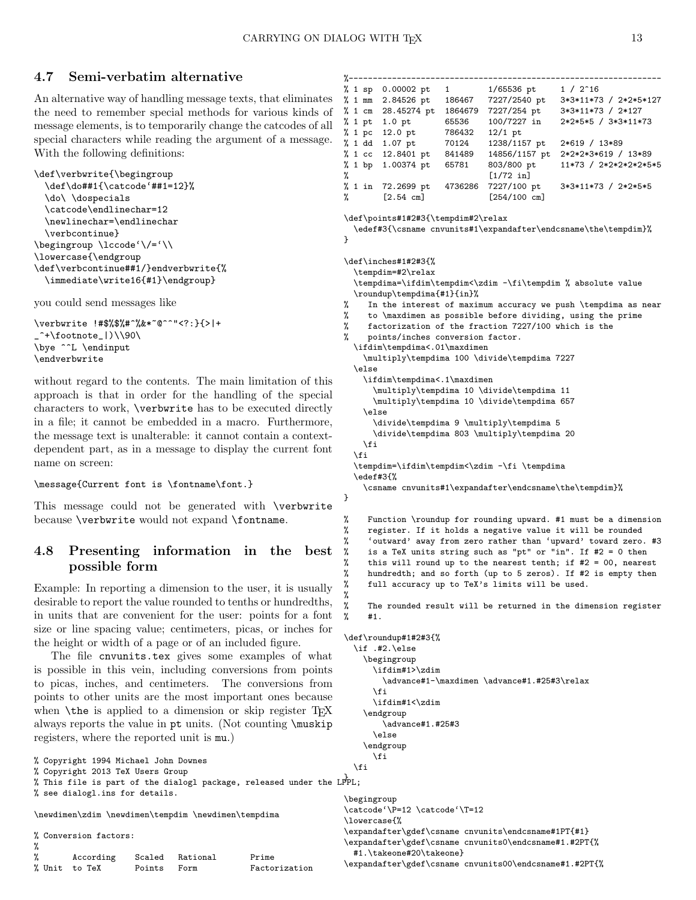## 4.7 Semi-verbatim alternative

An alternative way of handling message texts, that eliminates the need to remember special methods for various kinds of message elements, is to temporarily change the catcodes of all special characters while reading the argument of a message. With the following definitions:

```
\def\verbwrite{\begingroup
  \def\do##1{\catcode'##1=12}%
  \do\ \dospecials
  \catcode\endlinechar=12
  \newlinechar=\endlinechar
  \verbcontinue}
\begingroup \lccode'\/='\\
\lowercase{\endgroup
\def\verbcontinue##1/}endverbwrite{%
  \immediate\write16{#1}\endgroup}
```
you could send messages like

```
\verbwrite !#$%$%#^%&*~@^^"<?:}{>|+
 \hat{}+\footnote_|)\\90\
\bye ^^L \endinput
\endverbwrite
```
without regard to the contents. The main limitation of this approach is that in order for the handling of the special characters to work, \verbwrite has to be executed directly in a file; it cannot be embedded in a macro. Furthermore, the message text is unalterable: it cannot contain a contextdependent part, as in a message to display the current font name on screen:

#### \message{Current font is \fontname\font.}

This message could not be generated with \verbwrite because \verbwrite would not expand \fontname.

# 4.8 Presenting information in the best possible form

Example: In reporting a dimension to the user, it is usually desirable to report the value rounded to tenths or hundredths, in units that are convenient for the user: points for a font size or line spacing value; centimeters, picas, or inches for the height or width of a page or of an included figure.

The file cnvunits.tex gives some examples of what is possible in this vein, including conversions from points to picas, inches, and centimeters. The conversions from points to other units are the most important ones because when  $\theta$  is applied to a dimension or skip register T<sub>EX</sub> always reports the value in pt units. (Not counting \muskip registers, where the reported unit is mu.)

% Copyright 1994 Michael John Downes % Copyright 2013 TeX Users Group % in extraction of the dialogl package, released under the LPPL;

% see dialogl.ins for details.

\newdimen\zdim \newdimen\tempdim \newdimen\tempdima

% Conversion factors:

| %  |               |             |                 |               |
|----|---------------|-------------|-----------------|---------------|
| ଂ/ | According     |             | Scaled Rational | Prime         |
|    | % Unit to TeX | Points Form |                 | Factorization |

%-------------------% 1 sp 0.00002 pt 1 1/65536 pt 1 / 2^16<br>% 1 mm 2.84526 pt 186467 7227/2540 pt 3\*3\*11\*7 7227/2540 pt 3\*3\*11\*73 / 2\*2\*5\*127 % 1 cm 28.45274 pt 1864679 7227/254 pt  $3*3*11*73 / 2*127$ <br>% 1 pt 1.0 pt 65536 100/7227 in  $2*2*5*5 / 3*3*11*7$ % 1 pt 1.0 pt 65536 100/7227 in 2\*2\*5\*5 / 3\*3\*11\*73 % 1 pc 12.0 pt 786432 12/1 pt % 1 dd 1.07 pt 70124 1238/1157 pt 2\*619 / 13\*89<br>% 1 cc 12.8401 pt 841489 14856/1157 pt 2\*2\*2\*3\*619 / 841489 14856/1157 pt 2\*2\*2\*3\*619 / 13\*89 % 1 bp 1.00374 pt 65781 803/800 pt 11\*73 / 2\*2\*2\*2\*2\*5\*5 % [1/72 in]<br>% 1 in 72.2699 pt 4736286 7227/100 pt 3\*3\*11\*73 / 2\*2\*5\*5 % [2.54 cm] [254/100 cm] \def\points#1#2#3{\tempdim#2\relax \edef#3{\csname cnvunits#1\expandafter\endcsname\the\tempdim}% } \def\inches#1#2#3{% \tempdim=#2\relax \tempdima=\ifdim\tempdim<\zdim -\fi\tempdim % absolute value \roundup\tempdima{#1}{in}% In the interest of maximum accuracy we push \tempdima as near % to \maxdimen as possible before dividing, using the prime % factorization of the fraction 7227/100 which is the % points/inches conversion factor. \ifdim\tempdima<.01\maxdimen \multiply\tempdima 100 \divide\tempdima 7227 \else \ifdim\tempdima<.1\maxdimen \multiply\tempdima 10 \divide\tempdima 11 \multiply\tempdima 10 \divide\tempdima 657 \else \divide\tempdima 9 \multiply\tempdima 5 \divide\tempdima 803 \multiply\tempdima 20 \fi  $\frac{1}{2}$ \tempdim=\ifdim\tempdim<\zdim -\fi \tempdima \edef#3{% \csname cnvunits#1\expandafter\endcsname\the\tempdim}% } % Function \roundup for rounding upward. #1 must be a dimension % register. If it holds a negative value it will be rounded % 'outward' away from zero rather than 'upward' toward zero. #3 is a TeX units string such as "pt" or "in". If  $#2 = 0$  then this will round up to the nearest tenth; if  $#2 = 00$ , nearest hundredth; and so forth (up to 5 zeros). If #2 is empty then full accuracy up to TeX's limits will be used.  $\frac{9}{2}$ The rounded result will be returned in the dimension register  $%$  #1. \def\roundup#1#2#3{% \if .#2.\else \begingroup \ifdim#1>\zdim \advance#1-\maxdimen \advance#1.#25#3\relax  $\eta$ \ifdim#1<\zdim \endgroup \advance#1.#25#3 \else

\endgroup \fi

 $\left\{ \frac{f}{f} \right\}$ 

\begingroup \catcode'\P=12 \catcode'\T=12 \lowercase{% \expandafter\gdef\csname cnvunits\endcsname#1PT{#1} \expandafter\gdef\csname cnvunits0\endcsname#1.#2PT{% #1.\takeone#20\takeone} \expandafter\gdef\csname cnvunits00\endcsname#1.#2PT{%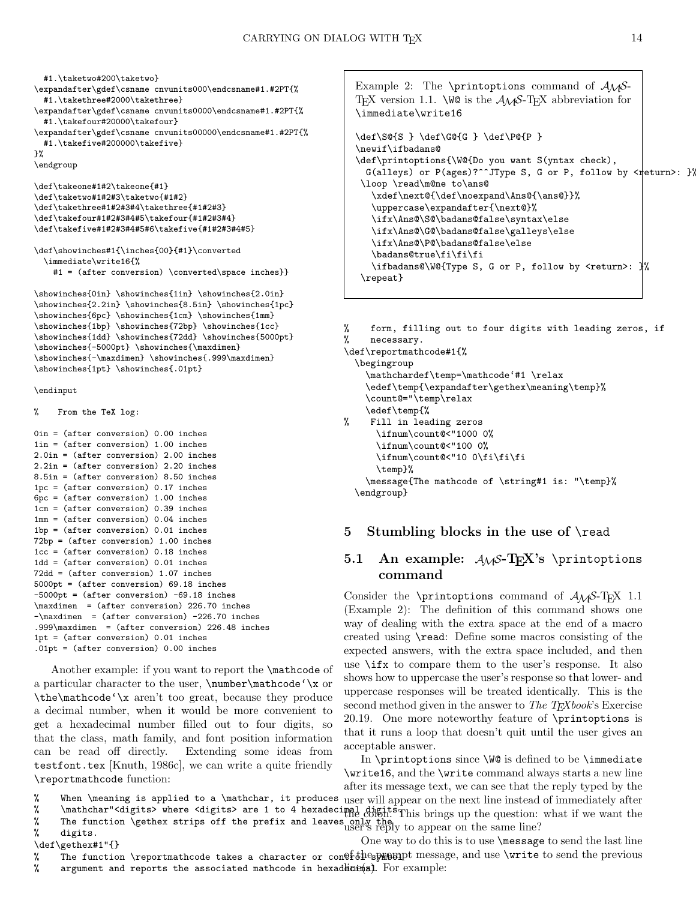#1.\taketwo#200\taketwo}

```
\expandafter\gdef\csname cnvunits000\endcsname#1.#2PT{%
 #1.\takethree#2000\takethree}
```

```
\expandafter\gdef\csname cnvunits0000\endcsname#1.#2PT{%
 #1.\takefour#20000\takefour}
```

```
\expandafter\gdef\csname cnvunits00000\endcsname#1.#2PT{%
 #1.\takefive#200000\takefive}
```

```
\mathcal{V}'
```
\endgroup

\def\takeone#1#2\takeone{#1} \def\taketwo#1#2#3\taketwo{#1#2} \def\takethree#1#2#3#4\takethree{#1#2#3} \def\takefour#1#2#3#4#5\takefour{#1#2#3#4} \def\takefive#1#2#3#4#5#6\takefive{#1#2#3#4#5}

```
\def\showinches#1{\inches{00}{#1}\converted
 \immediate\write16{%
   #1 = (after conversion) \converted\space inches}}
```
\showinches{0in} \showinches{1in} \showinches{2.0in} \showinches{2.2in} \showinches{8.5in} \showinches{1pc} \showinches{6pc} \showinches{1cm} \showinches{1mm} \showinches{1bp} \showinches{72bp} \showinches{1cc} \showinches{1dd} \showinches{72dd} \showinches{5000pt} \showinches{-5000pt} \showinches{\maxdimen} \showinches{-\maxdimen} \showinches{.999\maxdimen} \showinches{1pt} \showinches{.01pt}

#### \endinput

```
% From the TeX log:
```

```
0in = (after conversion) 0.00 inches
1in = (after conversion) 1.00 inches
2.0in = (after conversion) 2.00 inches
2.2in = (after conversion) 2.20 inches
8.5in = (after conversion) 8.50 inches
1pc = (after conversion) 0.17 inches
6pc = (after conversion) 1.00 inches
1cm = (after conversion) 0.39 inches
1mm = (after conversion) 0.04 inches
1bp = (after conversion) 0.01 inches
72bp = (after conversion) 1.00 inches
1cc = (after conversion) 0.18 inches
1dd = (after conversion) 0.01 inches
72dd = (after conversion) 1.07 inches
5000pt = (after conversion) 69.18 inches
-5000pt = (after conversion) -69.18 inches
\maxdimen = (after conversion) 226.70 inches
-\maxdimen = (after conversion) -226.70 inches
.999\maxdimen = (after conversion) 226.48 inches
1pt = (after conversion) 0.01 inches
.01pt = (after conversion) 0.00 inches
```
Another example: if you want to report the \mathcode of a particular character to the user, \number\mathcode'\x or \the\mathcode'\x aren't too great, because they produce a decimal number, when it would be more convenient to get a hexadecimal number filled out to four digits, so that the class, math family, and font position information can be read off directly. Extending some ideas from testfont.tex [Knuth, 1986c], we can write a quite friendly \reportmathcode function:

```
Example 2: The \printoptions command of A_{\mathcal{M}}S-
TEX version 1.1. \WO is the \mathcal{A}\mathcal{A}\mathcal{S}-TEX abbreviation for
\immediate\write16
\def\S@{S } \def\G@{G } \def\P@{P }
\newif\ifbadans@
\def\printoptions{\W@{Do you want S(yntax check),
  G(alleys) or P(ages)?^^JType S, G or P, follow by \langlereturn>: }}
 \loop \read\m@ne to\ans@
   \xdef\next@{\def\noexpand\Ans@{\ans@}}%
   \uppercase\expandafter{\next@}%
   \ifx\Ans@\S@\badans@false\syntax\else
   \ifx\Ans@\G@\badans@false\galleys\else
   \ifx\Ans@\P@\badans@false\else
   \badans@true\fi\fi\fi
   \ifbadans@\W@{Type S, G or P, follow by <return>: }%
 \repeat}
```

```
% form, filling out to four digits with leading zeros, if
% necessary.
\def\reportmathcode#1{%
  \begingroup
```

```
\mathchardef\temp=\mathcode'#1 \relax
    \edef\temp{\expandafter\gethex\meaning\temp}%
    \count@="\temp\relax
    \edef\temp{%
% Fill in leading zeros
      \ifnum\count@<"1000 0%
      \ifnum\count@<"100 0%
      \ifnum\count@<"10 0\fi\fi\fi
      \temp}%
    \message{The mathcode of \string#1 is: "\temp}%
```

```
\endgroup}
```
## 5 Stumbling blocks in the use of \read

## 5.1 An example:  $A\text{M}S$ -T<sub>F</sub>X's \printoptions command

Consider the \printoptions command of  $\mathcal{A}\mathcal{A}$ S-T<sub>E</sub>X 1.1 (Example 2): The definition of this command shows one way of dealing with the extra space at the end of a macro created using \read: Define some macros consisting of the expected answers, with the extra space included, and then use \ifx to compare them to the user's response. It also shows how to uppercase the user's response so that lower- and uppercase responses will be treated identically. This is the second method given in the answer to The  $T_{E}Xbook$ 's Exercise 20.19. One more noteworthy feature of \printoptions is that it runs a loop that doesn't quit until the user gives an acceptable answer.

% When \meaning is applied to a \mathchar, it produces In \printoptions since \W@ is defined to be \immediate \write16, and the \write command always starts a new line after its message text, we can see that the reply typed by the user will appear on the next line instead of immediately after

```
% \mathchar"<digits> where <digits> are 1 to 4 hexadecimal digits. This brings up the question: what if we want the
% The function \gethex strips off the prefix and leaves only the user's reply to appear on the same line?
% digits.
\def\gethex#1"{}
% The function \reportmathcode takes a character or con\thetaf&\thetaes\thetaand message, and use \write to send the previous
                                                                 One way to do this is to use \message to send the last line
```

```
% argument and reports the associated mathcode in hexadicimes). For example:
```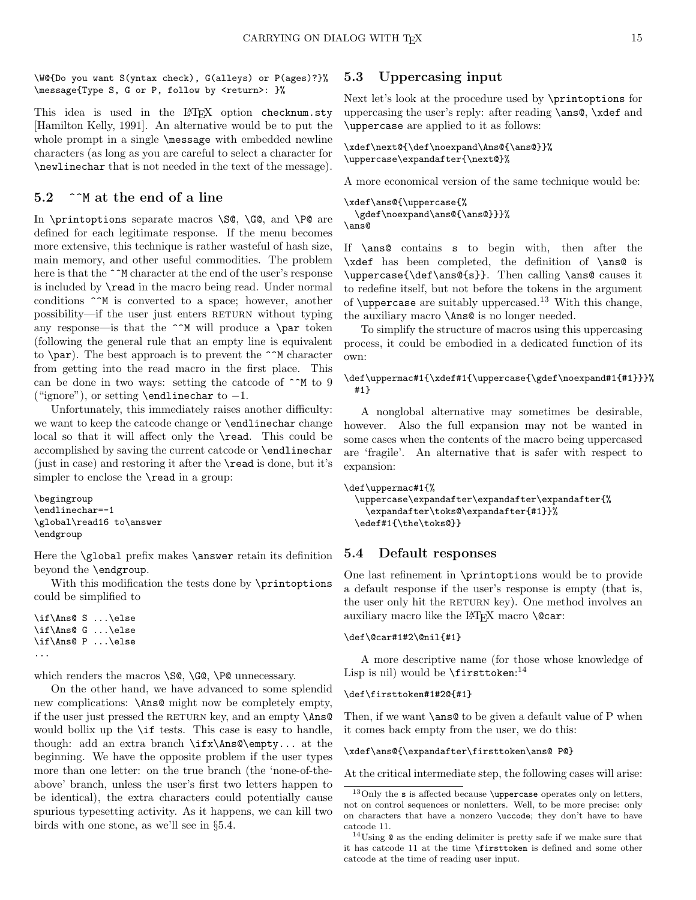\W@{Do you want S(yntax check), G(alleys) or P(ages)?}% \message{Type S, G or P, follow by <return>: }%

This idea is used in the LATEX option checknum.sty [Hamilton Kelly, 1991]. An alternative would be to put the whole prompt in a single  $\mathcal{S}$  and  $\mathcal{S}$  with embedded newline characters (as long as you are careful to select a character for \newlinechar that is not needed in the text of the message).

## 5.2 <sup> $\hat{\ }$ </sup>M at the end of a line

In \printoptions separate macros \S@, \G@, and \P@ are defined for each legitimate response. If the menu becomes more extensive, this technique is rather wasteful of hash size, main memory, and other useful commodities. The problem here is that the  $\hat{\ }$ M character at the end of the user's response is included by \read in the macro being read. Under normal conditions  $\hat{\ }$ <sup>M</sup> is converted to a space; however, another possibility—if the user just enters RETURN without typing any response—is that the  $\hat{M}$  will produce a \par token (following the general rule that an empty line is equivalent to  $\parrow$  The best approach is to prevent the  $\char`r M$  character from getting into the read macro in the first place. This can be done in two ways: setting the catcode of  $\hat{ }$  m to 9 ("ignore"), or setting \endlinechar to  $-1$ .

Unfortunately, this immediately raises another difficulty: we want to keep the catcode change or \endlinechar change local so that it will affect only the \read. This could be accomplished by saving the current catcode or \endlinechar (just in case) and restoring it after the \read is done, but it's simpler to enclose the **\read** in a group:

```
\begingroup
\endlinechar=-1
\global\read16 to\answer
\endgroup
```
Here the \global prefix makes \answer retain its definition beyond the \endgroup.

With this modification the tests done by **\printoptions** could be simplified to

```
\if\Ans@ S ...\else
\if\Ans@ G ...\else
\if\Ans@ P ...\else
...
```
which renders the macros \SQ, \GQ, \PQ unnecessary.

On the other hand, we have advanced to some splendid new complications: \Ans@ might now be completely empty, if the user just pressed the RETURN key, and an empty  $\angle$ Ans@ would bollix up the \if tests. This case is easy to handle, though: add an extra branch \ifx\Ans@\empty... at the beginning. We have the opposite problem if the user types more than one letter: on the true branch (the 'none-of-theabove' branch, unless the user's first two letters happen to be identical), the extra characters could potentially cause spurious typesetting activity. As it happens, we can kill two birds with one stone, as we'll see in §5.4.

## 5.3 Uppercasing input

Next let's look at the procedure used by \printoptions for uppercasing the user's reply: after reading \ans@, \xdef and \uppercase are applied to it as follows:

```
\xdef\next@{\def\noexpand\Ans@{\ans@}}%
\uppercase\expandafter{\next@}%
```
A more economical version of the same technique would be:

```
\xdef\ans@{\uppercase{%
  \gdef\noexpand\ans@{\ans@}}}%
\ans@
```
If \ans@ contains s to begin with, then after the \xdef has been completed, the definition of \ans@ is \uppercase{\def\ans@{s}}. Then calling \ans@ causes it to redefine itself, but not before the tokens in the argument of  $\u$ ppercase are suitably uppercased.<sup>13</sup> With this change, the auxiliary macro \Ans@ is no longer needed.

To simplify the structure of macros using this uppercasing process, it could be embodied in a dedicated function of its own:

#### \def\uppermac#1{\xdef#1{\uppercase{\gdef\noexpand#1{#1}}}% #1}

A nonglobal alternative may sometimes be desirable, however. Also the full expansion may not be wanted in some cases when the contents of the macro being uppercased are 'fragile'. An alternative that is safer with respect to expansion:

```
\def\uppermac#1{%
  \uppercase\expandafter\expandafter\expandafter{%
    \expandafter\toks@\expandafter{#1}}%
  \edef#1{\the\toks@}}
```
### 5.4 Default responses

One last refinement in \printoptions would be to provide a default response if the user's response is empty (that is, the user only hit the RETURN key). One method involves an auxiliary macro like the L<sup>AT</sup>FX macro  $\text{Qcar}:$ 

## \def\@car#1#2\@nil{#1}

A more descriptive name (for those whose knowledge of Lisp is nil) would be **\firsttoken**:<sup>14</sup>

#### \def\firsttoken#1#2@{#1}

Then, if we want **\ans@** to be given a default value of P when it comes back empty from the user, we do this:

\xdef\ans@{\expandafter\firsttoken\ans@ P@}

At the critical intermediate step, the following cases will arise:

 $13$ Only the s is affected because \uppercase operates only on letters, not on control sequences or nonletters. Well, to be more precise: only on characters that have a nonzero \uccode; they don't have to have catcode 11.

<sup>14</sup>Using @ as the ending delimiter is pretty safe if we make sure that it has catcode 11 at the time \firsttoken is defined and some other catcode at the time of reading user input.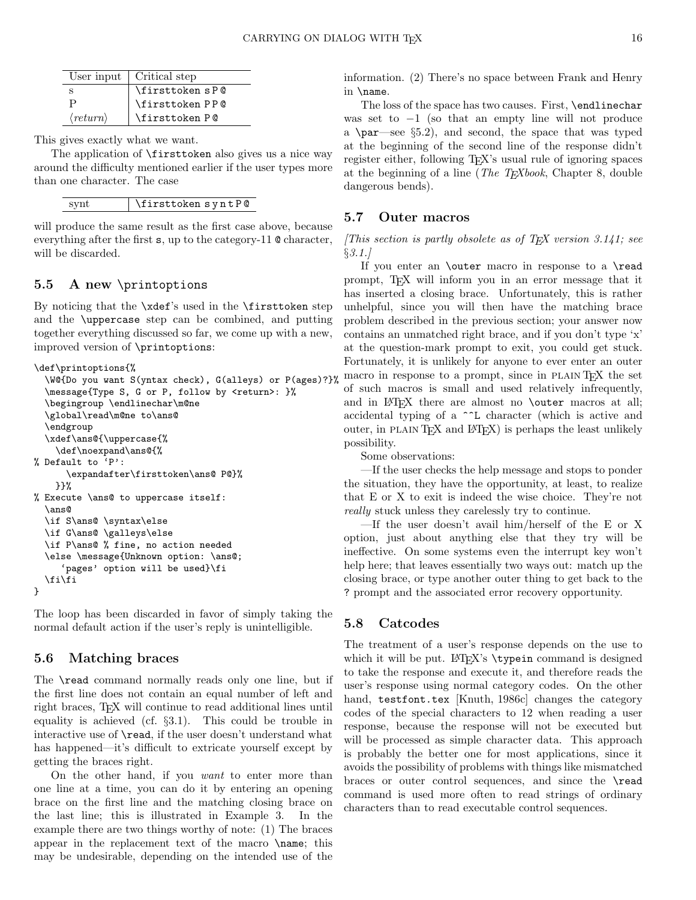| User input               | Critical step   |
|--------------------------|-----------------|
|                          | \firsttoken sP@ |
|                          | \firsttoken PP@ |
| $\langle return \rangle$ | \firsttoken P @ |

This gives exactly what we want.

The application of \firsttoken also gives us a nice way around the difficulty mentioned earlier if the user types more than one character. The case

| synt | \firsttoken syntP@ |
|------|--------------------|
|------|--------------------|

will produce the same result as the first case above, because everything after the first s, up to the category-11 @ character, will be discarded.

## 5.5 A new \printoptions

By noticing that the \xdef's used in the \firsttoken step and the \uppercase step can be combined, and putting together everything discussed so far, we come up with a new, improved version of \printoptions:

```
\def\printoptions{%
  \W@{Do you want S(yntax check), G(alleys) or P(ages)?}%
  \message{Type S, G or P, follow by <return>: }%
  \begingroup \endlinechar\m@ne
  \global\read\m@ne to\ans@
  \endgroup
  \xdef\ans@{\uppercase{%
    \def\noexpand\ans@{%
% Default to 'P':
      \expandafter\firsttoken\ans@ P@}%
    }}%
% Execute \ans@ to uppercase itself:
  \ans@
  \if S\ans@ \syntax\else
  \if G\ans@ \galleys\else
  \if P\ans@ % fine, no action needed
  \else \message{Unknown option: \ans@;
     'pages' option will be used}\fi
  \fi\fi
}
```
The loop has been discarded in favor of simply taking the normal default action if the user's reply is unintelligible.

### 5.6 Matching braces

The **\read** command normally reads only one line, but if the first line does not contain an equal number of left and right braces, T<sub>E</sub>X will continue to read additional lines until equality is achieved (cf. §3.1). This could be trouble in interactive use of \read, if the user doesn't understand what has happened—it's difficult to extricate yourself except by getting the braces right.

On the other hand, if you want to enter more than one line at a time, you can do it by entering an opening brace on the first line and the matching closing brace on the last line; this is illustrated in Example 3. In the example there are two things worthy of note: (1) The braces appear in the replacement text of the macro \name; this may be undesirable, depending on the intended use of the information. (2) There's no space between Frank and Henry in \name.

The loss of the space has two causes. First, \endlinechar was set to  $-1$  (so that an empty line will not produce a \par—see §5.2), and second, the space that was typed at the beginning of the second line of the response didn't register either, following T<sub>EX</sub>'s usual rule of ignoring spaces at the beginning of a line (*The T<sub>E</sub>Xbook*, Chapter 8, double dangerous bends).

### 5.7 Outer macros

(This section is partly obsolete as of T<sub>E</sub>X version 3.141; see  $§3.1.]$ 

If you enter an \outer macro in response to a \read prompt, TEX will inform you in an error message that it has inserted a closing brace. Unfortunately, this is rather unhelpful, since you will then have the matching brace problem described in the previous section; your answer now contains an unmatched right brace, and if you don't type 'x' at the question-mark prompt to exit, you could get stuck. Fortunately, it is unlikely for anyone to ever enter an outer macro in response to a prompt, since in PLAIN T<sub>EX</sub> the set of such macros is small and used relatively infrequently, and in LAT<sub>EX</sub> there are almost no **\outer** macros at all; accidental typing of a ^^L character (which is active and outer, in PLAIN T<sub>E</sub>X and L<sup>AT</sup>E<sub>X</sub></sub>) is perhaps the least unlikely possibility.

Some observations:

—If the user checks the help message and stops to ponder the situation, they have the opportunity, at least, to realize that E or X to exit is indeed the wise choice. They're not really stuck unless they carelessly try to continue.

—If the user doesn't avail him/herself of the E or X option, just about anything else that they try will be ineffective. On some systems even the interrupt key won't help here; that leaves essentially two ways out: match up the closing brace, or type another outer thing to get back to the ? prompt and the associated error recovery opportunity.

### 5.8 Catcodes

The treatment of a user's response depends on the use to which it will be put.  $\mathbb{F}^X$ 's  $\type$ in command is designed to take the response and execute it, and therefore reads the user's response using normal category codes. On the other hand, testfont.tex [Knuth, 1986c] changes the category codes of the special characters to 12 when reading a user response, because the response will not be executed but will be processed as simple character data. This approach is probably the better one for most applications, since it avoids the possibility of problems with things like mismatched braces or outer control sequences, and since the \read command is used more often to read strings of ordinary characters than to read executable control sequences.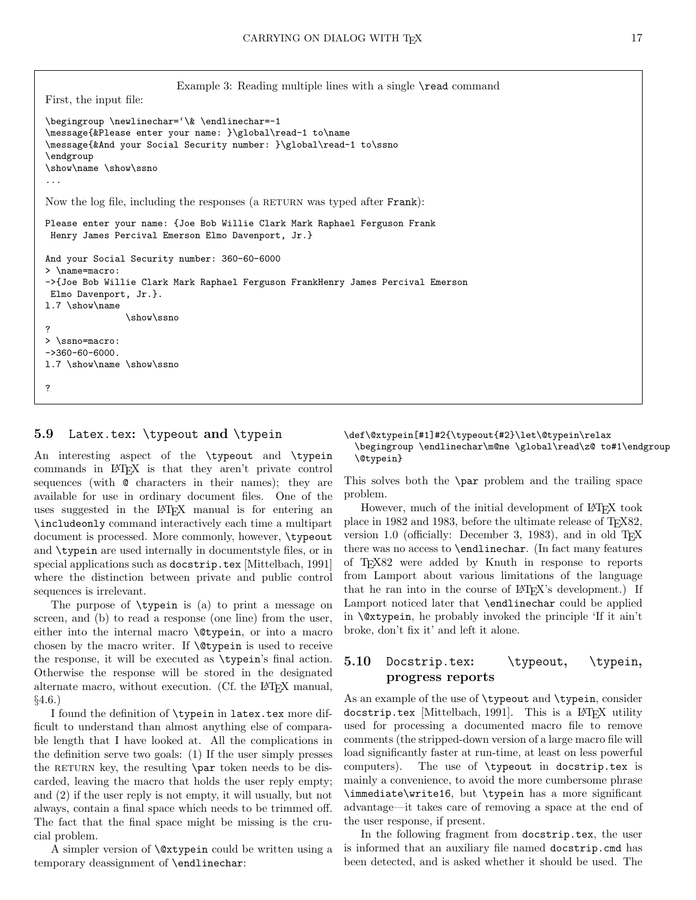Example 3: Reading multiple lines with a single **\read** command

```
First, the input file:
\begingroup \newlinechar='\& \endlinechar=-1
\message{&Please enter your name: }\global\read-1 to\name
\message{&And your Social Security number: }\global\read-1 to\ssno
\endgroup
\show\name \show\ssno
...
Now the log file, including the responses (a RETURN was typed after Frank):
Please enter your name: {Joe Bob Willie Clark Mark Raphael Ferguson Frank
Henry James Percival Emerson Elmo Davenport, Jr.}
And your Social Security number: 360-60-6000
> \name=macro:
->{Joe Bob Willie Clark Mark Raphael Ferguson FrankHenry James Percival Emerson
Elmo Davenport, Jr.}.
l.7 \show\name
               \show\ssno
?
> \ssno=macro:
->360-60-6000.
l.7 \show\name \show\ssno
?
```
#### 5.9 Latex.tex: \typeout and \typein

An interesting aspect of the \typeout and \typein commands in LATEX is that they aren't private control sequences (with @ characters in their names); they are available for use in ordinary document files. One of the uses suggested in the LAT<sub>EX</sub> manual is for entering an \includeonly command interactively each time a multipart document is processed. More commonly, however, \typeout and \typein are used internally in documentstyle files, or in special applications such as docstrip.tex [Mittelbach, 1991] where the distinction between private and public control sequences is irrelevant.

The purpose of  $\type$ in is (a) to print a message on screen, and (b) to read a response (one line) from the user, either into the internal macro \@typein, or into a macro chosen by the macro writer. If \@typein is used to receive the response, it will be executed as \typein's final action. Otherwise the response will be stored in the designated alternate macro, without execution. (Cf. the LAT<sub>EX</sub> manual, §4.6.)

I found the definition of \typein in latex.tex more difficult to understand than almost anything else of comparable length that I have looked at. All the complications in the definition serve two goals: (1) If the user simply presses the RETURN key, the resulting  $\parrow$  token needs to be discarded, leaving the macro that holds the user reply empty; and (2) if the user reply is not empty, it will usually, but not always, contain a final space which needs to be trimmed off. The fact that the final space might be missing is the crucial problem.

A simpler version of \@xtypein could be written using a temporary deassignment of \endlinechar:

### \def\@xtypein[#1]#2{\typeout{#2}\let\@typein\relax \begingroup \endlinechar\m@ne \global\read\z@ to#1\endgroup \@typein}

This solves both the \par problem and the trailing space problem.

However, much of the initial development of LAT<sub>EX</sub> took place in 1982 and 1983, before the ultimate release of T<sub>E</sub>X82, version 1.0 (officially: December 3, 1983), and in old  $T_F X$ there was no access to \endlinechar. (In fact many features of TEX82 were added by Knuth in response to reports from Lamport about various limitations of the language that he ran into in the course of LATEX's development.) If Lamport noticed later that **\endlinechar** could be applied in \@xtypein, he probably invoked the principle 'If it ain't broke, don't fix it' and left it alone.

## 5.10 Docstrip.tex: \typeout, \typein, progress reports

As an example of the use of \typeout and \typein, consider docstrip.tex [Mittelbach, 1991]. This is a LAT<sub>E</sub>X utility used for processing a documented macro file to remove comments (the stripped-down version of a large macro file will load significantly faster at run-time, at least on less powerful computers). The use of \typeout in docstrip.tex is mainly a convenience, to avoid the more cumbersome phrase \immediate\write16, but \typein has a more significant advantage—it takes care of removing a space at the end of the user response, if present.

In the following fragment from docstrip.tex, the user is informed that an auxiliary file named docstrip.cmd has been detected, and is asked whether it should be used. The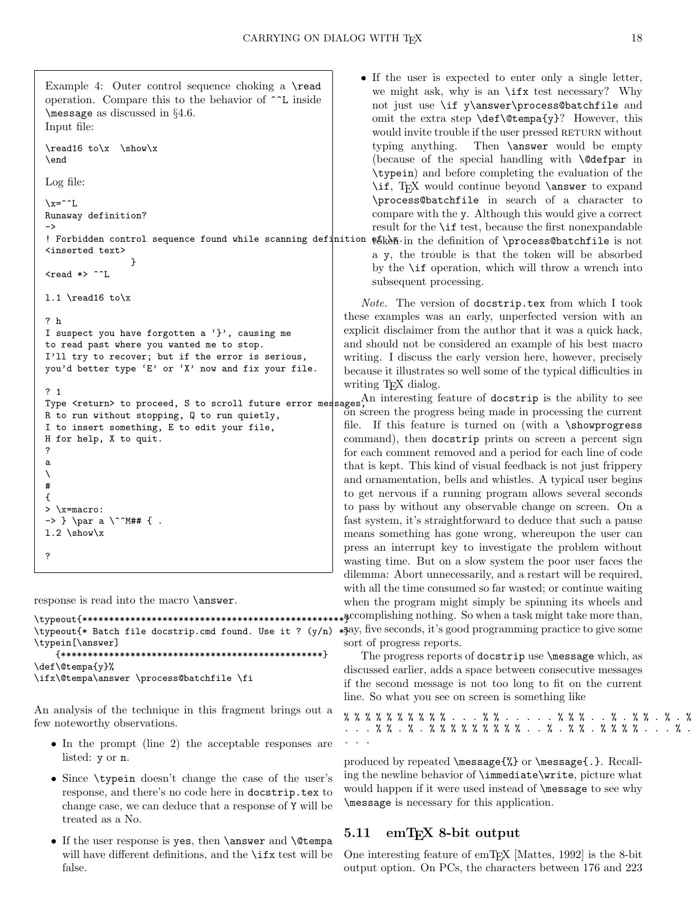```
Example 4: Outer control sequence choking a \read
operation. Compare this to the behavior of ^^L inside
\message as discussed in §4.6.
Input file:
\read16 to\x \show\x
\end
Log file:
\x = \hat{ }.
Runaway definition?
\rightarrow! Forbidden control sequence found while scanning definition
<inserted text>
                 }
<read *> ^^I.
l.1 \read16 to\x
? h
I suspect you have forgotten a '}', causing me
to read past where you wanted me to stop.
I'll try to recover; but if the error is serious,
you'd better type 'E' or 'X' now and fix your file.
? 1
Type <return> to proceed, S to scroll future error mess
R to run without stopping, Q to run quietly,
I to insert something, E to edit your file,
H for help, X to quit.
?
a
\lambda#
{
> \x=macro:
\rightarrow } \par a \^^M## { .
1.2 \verb|\showx|?
```
response is read into the macro \answer.

```
\typeout{*************************************************}
\typeout{* Batch file docstrip.cmd found. Use it ? (y/n) *$ay, five seconds, it's good programming practice to give some
\typein[\answer]
    {*************************************************}
\def\@tempa{y}%
\ifx\@tempa\answer \process@batchfile \fi
```
An analysis of the technique in this fragment brings out a few noteworthy observations.

- In the prompt (line 2) the acceptable responses are listed: y or n.
- Since \typein doesn't change the case of the user's response, and there's no code here in docstrip.tex to change case, we can deduce that a response of Y will be treated as a No.
- If the user response is yes, then \answer and \@tempa will have different definitions, and the **\ifx** test will be false.

• If the user is expected to enter only a single letter, we might ask, why is an \ifx test necessary? Why not just use \if y\answer\process@batchfile and omit the extra step \def\@tempa{y}? However, this would invite trouble if the user pressed RETURN without typing anything. Then \answer would be empty (because of the special handling with \@defpar in \typein) and before completing the evaluation of the \if, TEX would continue beyond **\answer** to expand \process@batchfile in search of a character to compare with the y. Although this would give a correct result for the \if test, because the first nonexpandable  $\mathbf{\theta}$ ken in the definition of \process@batchfile is not a y, the trouble is that the token will be absorbed

by the \if operation, which will throw a wrench into subsequent processing.

Note. The version of docstrip.tex from which I took these examples was an early, unperfected version with an explicit disclaimer from the author that it was a quick hack, and should not be considered an example of his best macro writing. I discuss the early version here, however, precisely because it illustrates so well some of the typical difficulties in writing T<sub>EX</sub> dialog.

ages<sup>An</sup> interesting feature of docstrip is the ability to see on screen the progress being made in processing the current file. If this feature is turned on (with a \showprogress command), then docstrip prints on screen a percent sign for each comment removed and a period for each line of code that is kept. This kind of visual feedback is not just frippery and ornamentation, bells and whistles. A typical user begins to get nervous if a running program allows several seconds to pass by without any observable change on screen. On a fast system, it's straightforward to deduce that such a pause means something has gone wrong, whereupon the user can press an interrupt key to investigate the problem without wasting time. But on a slow system the poor user faces the dilemma: Abort unnecessarily, and a restart will be required, with all the time consumed so far wasted; or continue waiting when the program might simply be spinning its wheels and accomplishing nothing. So when a task might take more than, sort of progress reports.

The progress reports of docstrip use \message which, as discussed earlier, adds a space between consecutive messages if the second message is not too long to fit on the current line. So what you see on screen is something like

% % % % % % % % % % . . . % % . . . . . % % % . . % . % % . % . % . . . % % . % . % % % % % % % % % % . . % . % % % % % . . . % . . . .

produced by repeated \message{%} or \message{.}. Recalling the newline behavior of \immediate\write, picture what would happen if it were used instead of \message to see why \message is necessary for this application.

## 5.11 emT<sub>F</sub>X 8-bit output

One interesting feature of emTEX [Mattes, 1992] is the 8-bit output option. On PCs, the characters between 176 and 223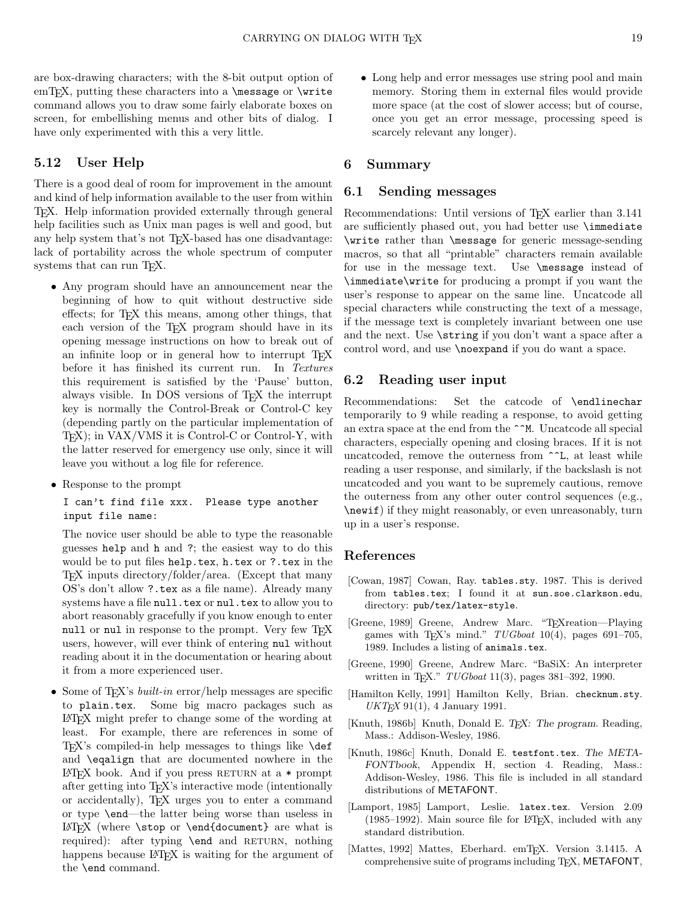are box-drawing characters; with the 8-bit output option of emT<sub>E</sub>X, putting these characters into a  $\text{message or } \text{write}$ command allows you to draw some fairly elaborate boxes on screen, for embellishing menus and other bits of dialog. I have only experimented with this a very little.

## 5.12 User Help

There is a good deal of room for improvement in the amount and kind of help information available to the user from within TEX. Help information provided externally through general help facilities such as Unix man pages is well and good, but any help system that's not T<sub>E</sub>X-based has one disadvantage: lack of portability across the whole spectrum of computer systems that can run T<sub>E</sub>X.

- Any program should have an announcement near the beginning of how to quit without destructive side effects; for T<sub>E</sub>X this means, among other things, that each version of the T<sub>EX</sub> program should have in its opening message instructions on how to break out of an infinite loop or in general how to interrupt T<sub>E</sub>X before it has finished its current run. In Textures this requirement is satisfied by the 'Pause' button, always visible. In DOS versions of TEX the interrupt key is normally the Control-Break or Control-C key (depending partly on the particular implementation of TEX); in VAX/VMS it is Control-C or Control-Y, with the latter reserved for emergency use only, since it will leave you without a log file for reference.
- Response to the prompt

I can't find file xxx. Please type another input file name:

The novice user should be able to type the reasonable guesses help and h and ?; the easiest way to do this would be to put files help.tex, h.tex or ?.tex in the TEX inputs directory/folder/area. (Except that many OS's don't allow ?.tex as a file name). Already many systems have a file null.tex or nul.tex to allow you to abort reasonably gracefully if you know enough to enter null or nul in response to the prompt. Very few T<sub>E</sub>X users, however, will ever think of entering nul without reading about it in the documentation or hearing about it from a more experienced user.

• Some of T<sub>E</sub>X's *built-in* error/help messages are specific to plain.tex. Some big macro packages such as LATEX might prefer to change some of the wording at least. For example, there are references in some of  $Tr[X]$ 's compiled-in help messages to things like  $\det$ and \eqalign that are documented nowhere in the  $\LaTeX{} book.$  And if you press RETURN at a  $*$  prompt after getting into TEX's interactive mode (intentionally or accidentally), TEX urges you to enter a command or type \end—the latter being worse than useless in  $\LaTeX{}$  (where \stop or \end{document} are what is required): after typing **\end** and RETURN, nothing happens because LAT<sub>EX</sub> is waiting for the argument of the \end command.

• Long help and error messages use string pool and main memory. Storing them in external files would provide more space (at the cost of slower access; but of course, once you get an error message, processing speed is scarcely relevant any longer).

#### 6 Summary

#### 6.1 Sending messages

Recommendations: Until versions of T<sub>E</sub>X earlier than 3.141 are sufficiently phased out, you had better use \immediate \write rather than \message for generic message-sending macros, so that all "printable" characters remain available for use in the message text. Use \message instead of \immediate\write for producing a prompt if you want the user's response to appear on the same line. Uncatcode all special characters while constructing the text of a message, if the message text is completely invariant between one use and the next. Use \string if you don't want a space after a control word, and use \noexpand if you do want a space.

## 6.2 Reading user input

Recommendations: Set the catcode of \endlinechar temporarily to 9 while reading a response, to avoid getting an extra space at the end from the ^^M. Uncatcode all special characters, especially opening and closing braces. If it is not uncatcoded, remove the outerness from  $\hat{ }$ L, at least while reading a user response, and similarly, if the backslash is not uncatcoded and you want to be supremely cautious, remove the outerness from any other outer control sequences (e.g., \newif) if they might reasonably, or even unreasonably, turn up in a user's response.

## References

- [Cowan, 1987] Cowan, Ray. tables.sty. 1987. This is derived from tables.tex; I found it at sun.soe.clarkson.edu, directory: pub/tex/latex-style.
- [Greene, 1989] Greene, Andrew Marc. "Tr<sub>X</sub>reation—Playing games with TEX's mind."  $TUGboat$  10(4), pages 691-705, 1989. Includes a listing of animals.tex.
- [Greene, 1990] Greene, Andrew Marc. "BaSiX: An interpreter written in TFX." TUGboat 11(3), pages 381-392, 1990.
- [Hamilton Kelly, 1991] Hamilton Kelly, Brian. checknum.sty.  $UKT<sub>F</sub>X$  91(1), 4 January 1991.
- [Knuth, 1986b] Knuth, Donald E. TEX: The program. Reading, Mass.: Addison-Wesley, 1986.
- [Knuth, 1986c] Knuth, Donald E. testfont.tex. The META-FONTbook, Appendix H, section 4. Reading, Mass.: Addison-Wesley, 1986. This file is included in all standard distributions of METAFONT.
- [Lamport, 1985] Lamport, Leslie. latex.tex. Version 2.09 (1985–1992). Main source file for LATEX, included with any standard distribution.
- [Mattes, 1992] Mattes, Eberhard. emTFX. Version 3.1415. A comprehensive suite of programs including TEX, METAFONT,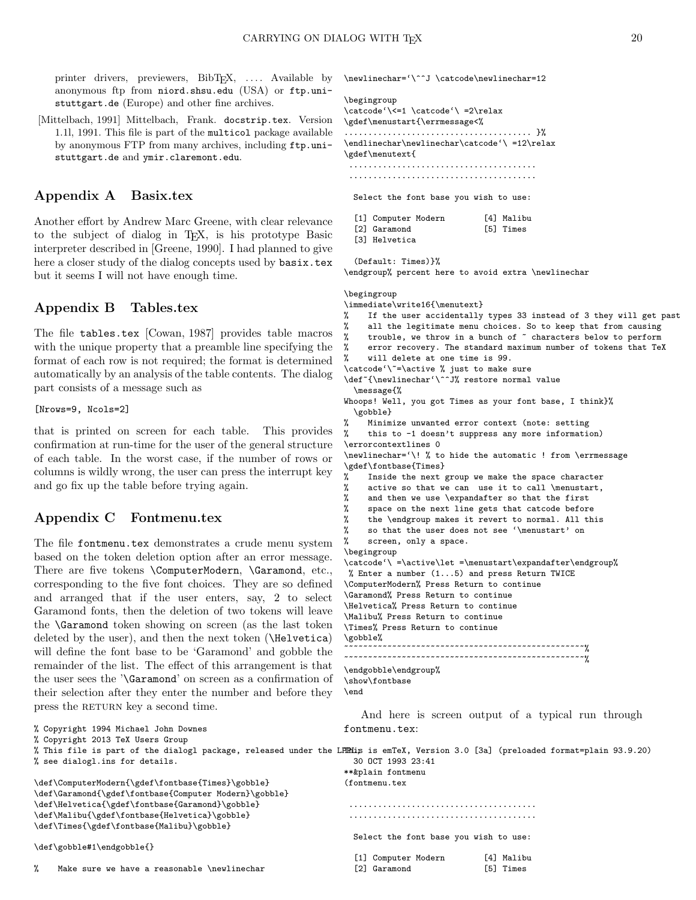printer drivers, previewers, BibTEX, .... Available by anonymous ftp from niord.shsu.edu (USA) or ftp.unistuttgart.de (Europe) and other fine archives.

[Mittelbach, 1991] Mittelbach, Frank. docstrip.tex. Version 1.1l, 1991. This file is part of the multicol package available by anonymous FTP from many archives, including ftp.unistuttgart.de and ymir.claremont.edu.

## Appendix A Basix.tex

Another effort by Andrew Marc Greene, with clear relevance to the subject of dialog in TEX, is his prototype Basic interpreter described in [Greene, 1990]. I had planned to give here a closer study of the dialog concepts used by basix.tex but it seems I will not have enough time.

## Appendix B Tables.tex

The file tables.tex [Cowan, 1987] provides table macros with the unique property that a preamble line specifying the format of each row is not required; the format is determined automatically by an analysis of the table contents. The dialog part consists of a message such as

#### [Nrows=9, Ncols=2]

that is printed on screen for each table. This provides confirmation at run-time for the user of the general structure of each table. In the worst case, if the number of rows or columns is wildly wrong, the user can press the interrupt key and go fix up the table before trying again.

## Appendix C Fontmenu.tex

The file fontmenu.tex demonstrates a crude menu system based on the token deletion option after an error message. There are five tokens \ComputerModern, \Garamond, etc., corresponding to the five font choices. They are so defined and arranged that if the user enters, say, 2 to select Garamond fonts, then the deletion of two tokens will leave the \Garamond token showing on screen (as the last token deleted by the user), and then the next token (\Helvetica) will define the font base to be 'Garamond' and gobble the remainder of the list. The effect of this arrangement is that the user sees the '\Garamond' on screen as a confirmation of their selection after they enter the number and before they press the RETURN key a second time.

% Copyright 1994 Michael John Downes % Copyright 2013 TeX Users Group % This file is part of the dialogl package, released under the LPPL; This is emTeX, Version 3.0 [3a] (preloaded format=plain 93.9.20) % see dialogl.ins for details. \def\ComputerModern{\gdef\fontbase{Times}\gobble} \def\Garamond{\gdef\fontbase{Computer Modern}\gobble} \def\Helvetica{\gdef\fontbase{Garamond}\gobble} \def\Malibu{\gdef\fontbase{Helvetica}\gobble} \def\Times{\gdef\fontbase{Malibu}\gobble} \def\gobble#1\endgobble{} fontmenu.tex: 30 OCT 1993 23:41 \*\*&plain fontmenu (fontmenu.tex ....................................... ....................................... Select the font base you wish to use: [1] Computer Modern [4] Malibu

### \newlinechar='\^^J \catcode\newlinechar=12

#### \begingroup

\catcode'\<=1 \catcode'\ =2\relax \gdef\menustart{\errmessage<%

....................................... }% \endlinechar\newlinechar\catcode'\ =12\relax \gdef\menutext{

....................................... .......................................

Select the font base you wish to use:

| [1] Computer Modern | [4] Malibu |
|---------------------|------------|
| [2] Garamond        | [5] Times  |
| [3] Helvetica       |            |

```
(Default: Times)}%
```
\endgroup% percent here to avoid extra \newlinechar

## \begingroup

\immediate\write16{\menutext}

- % If the user accidentally types 33 instead of 3 they will get past
- 
- % all the legitimate menu choices. So to keep that from causing<br>% trouble, we throw in a bunch of  $\tilde{c}$  characters below to perform trouble, we throw in a bunch of  $\tilde{ }$  characters below to perform
- % error recovery. The standard maximum number of tokens that TeX

% will delete at one time is 99. \catcode'\~=\active % just to make sure

\def~{\newlinechar'\^^J% restore normal value

\message{%

- Whoops! Well, you got Times as your font base, I think}% \gobble}
- % Minimize unwanted error context (note: setting % this to -1 doesn't suppress any more information
- this to -1 doesn't suppress any more information) \errorcontextlines 0
- \newlinechar='\! % to hide the automatic ! from \errmessage \gdef\fontbase{Times}
	- Inside the next group we make the space character
- % active so that we can use it to call \menustart,<br>% and then we use \expandafter so that the first
	- and then we use \expandafter so that the first
- % space on the next line gets that catcode before
- % the \endgroup makes it revert to normal. All this
- so that the user does not see '\menustart' on
- % screen, only a space.

```
\begingroup
```
\catcode'\ =\active\let =\menustart\expandafter\endgroup% % Enter a number (1...5) and press Return TWICE \ComputerModern% Press Return to continue \Garamond% Press Return to continue \Helvetica% Press Return to continue \Malibu% Press Return to continue \Times% Press Return to continue \gobble% ~~~~~~~~~~~~~~~~~~~~~~~~~~~~~~~~~~~~~~~~~~~~~~~~~~% ~~~~~~~~~~~~~~~~~~~~~~~~~~~~~~~~~~~~~~~~~~~~~~~~~~%

```
\endgobble\endgroup%
\show\fontbase
```

```
\end
```
And here is screen output of a typical run through

[2] Garamond [5] Times